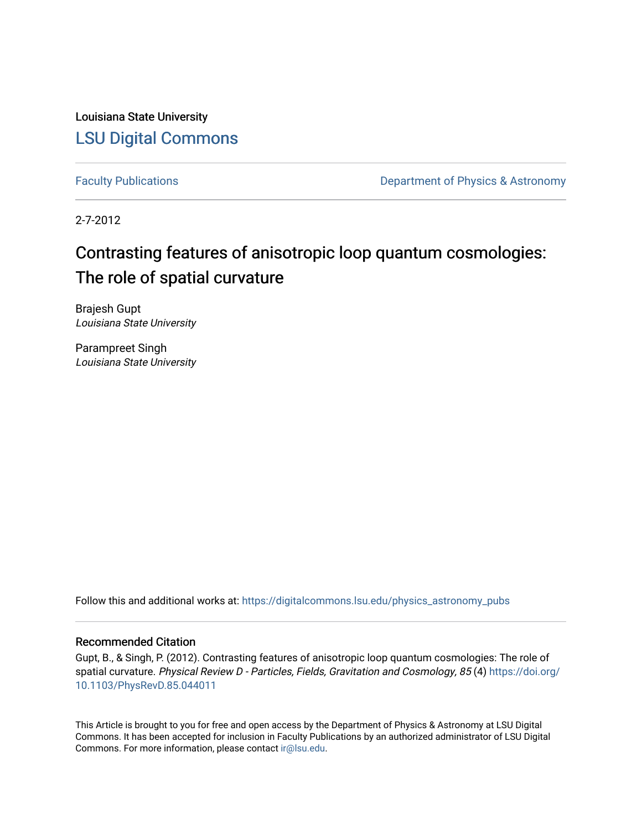Louisiana State University [LSU Digital Commons](https://digitalcommons.lsu.edu/)

[Faculty Publications](https://digitalcommons.lsu.edu/physics_astronomy_pubs) **Exercise 2 and Table 2 and Table 2 and Table 2 and Table 2 and Table 2 and Table 2 and Table 2 and Table 2 and Table 2 and Table 2 and Table 2 and Table 2 and Table 2 and Table 2 and Table 2 and Table** 

2-7-2012

# Contrasting features of anisotropic loop quantum cosmologies: The role of spatial curvature

Brajesh Gupt Louisiana State University

Parampreet Singh Louisiana State University

Follow this and additional works at: [https://digitalcommons.lsu.edu/physics\\_astronomy\\_pubs](https://digitalcommons.lsu.edu/physics_astronomy_pubs?utm_source=digitalcommons.lsu.edu%2Fphysics_astronomy_pubs%2F5062&utm_medium=PDF&utm_campaign=PDFCoverPages) 

## Recommended Citation

Gupt, B., & Singh, P. (2012). Contrasting features of anisotropic loop quantum cosmologies: The role of spatial curvature. Physical Review D - Particles, Fields, Gravitation and Cosmology, 85 (4) [https://doi.org/](https://doi.org/10.1103/PhysRevD.85.044011) [10.1103/PhysRevD.85.044011](https://doi.org/10.1103/PhysRevD.85.044011) 

This Article is brought to you for free and open access by the Department of Physics & Astronomy at LSU Digital Commons. It has been accepted for inclusion in Faculty Publications by an authorized administrator of LSU Digital Commons. For more information, please contact [ir@lsu.edu](mailto:ir@lsu.edu).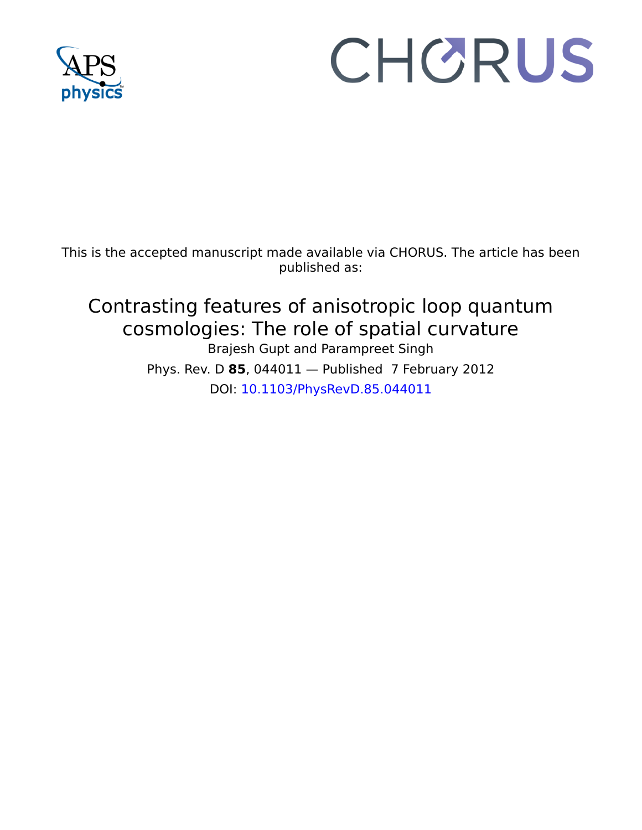

# CHORUS

This is the accepted manuscript made available via CHORUS. The article has been published as:

## Contrasting features of anisotropic loop quantum cosmologies: The role of spatial curvature Brajesh Gupt and Parampreet Singh Phys. Rev. D **85**, 044011 — Published 7 February 2012 DOI: [10.1103/PhysRevD.85.044011](http://dx.doi.org/10.1103/PhysRevD.85.044011)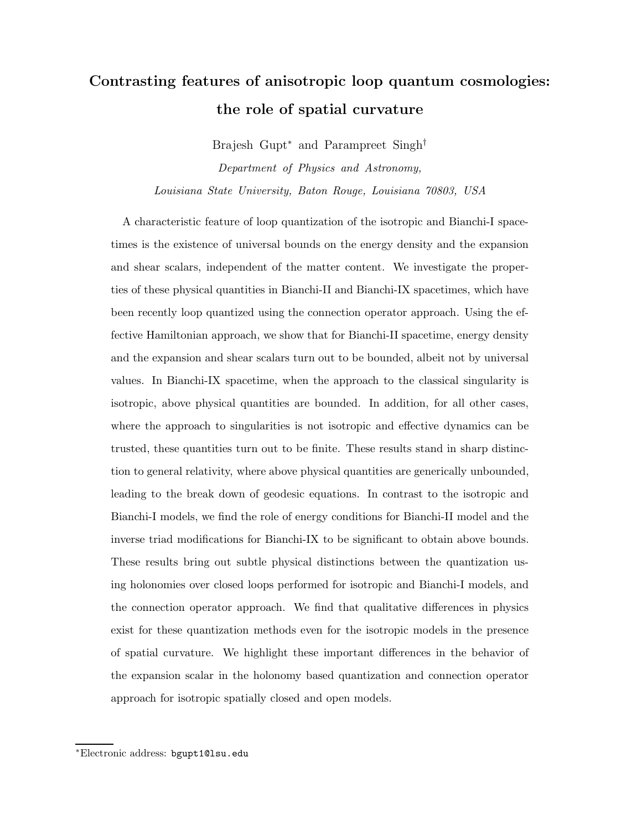## Contrasting features of anisotropic loop quantum cosmologies: the role of spatial curvature

Brajesh Gupt<sup>∗</sup> and Parampreet Singh† Department of Physics and Astronomy, Louisiana State University, Baton Rouge, Louisiana 70803, USA

is the existence of universal bounds on the energy densit<br>thear scalars, independent of the matter content. We inv<br>if these physical quantities in Bianchi-II and Bianchi-IX sp:<br>recently loop quantized using the connection A characteristic feature of loop quantization of the isotropic and Bianchi-I space-<br>times is the existence of universal bounds on the energy density and the expansion<br>and shear scalars, independent of the matter content. A characteristic feature of loop quantization of the isotropic and Bianchi-I spacetimes is the existence of universal bounds on the energy density and the expansion and shear scalars, independent of the matter content. We investigate the properties of these physical quantities in Bianchi-II and Bianchi-IX spacetimes, which have been recently loop quantized using the connection operator approach. Using the effective Hamiltonian approach, we show that for Bianchi-II spacetime, energy density and the expansion and shear scalars turn out to be bounded, albeit not by universal values. In Bianchi-IX spacetime, when the approach to the classical singularity is isotropic, above physical quantities are bounded. In addition, for all other cases, where the approach to singularities is not isotropic and effective dynamics can be trusted, these quantities turn out to be finite. These results stand in sharp distinction to general relativity, where above physical quantities are generically unbounded, leading to the break down of geodesic equations. In contrast to the isotropic and Bianchi-I models, we find the role of energy conditions for Bianchi-II model and the inverse triad modifications for Bianchi-IX to be significant to obtain above bounds. These results bring out subtle physical distinctions between the quantization using holonomies over closed loops performed for isotropic and Bianchi-I models, and the connection operator approach. We find that qualitative differences in physics exist for these quantization methods even for the isotropic models in the presence of spatial curvature. We highlight these important differences in the behavior of the expansion scalar in the holonomy based quantization and connection operator approach for isotropic spatially closed and open models.

<sup>∗</sup>Electronic address: bgupt1@lsu.edu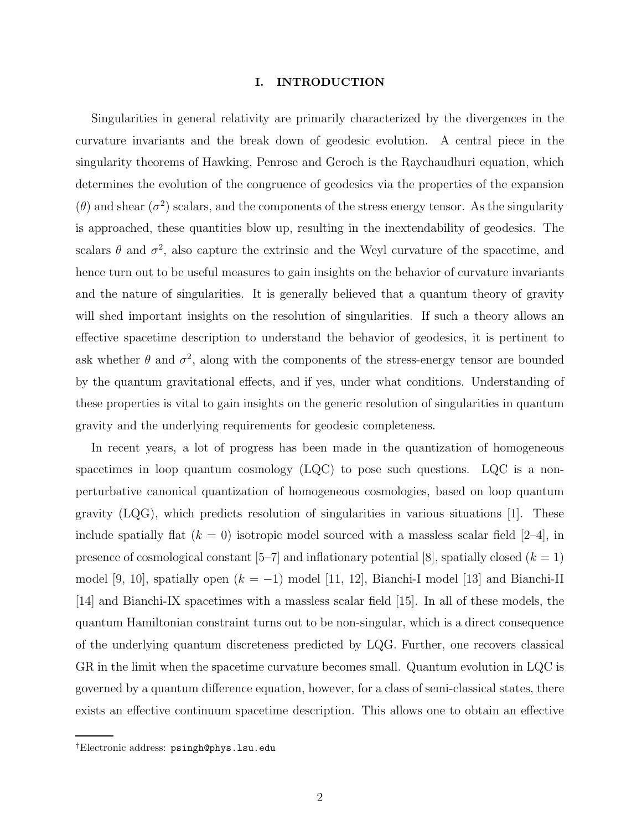#### I. INTRODUCTION

Singularities in general relativity are primarily characterized by the divergences in the curvature invariants and the break down of geodesic evolution. A central piece in the singularity theorems of Hawking, Penrose and Geroch is the Raychaudhuri equation, which determines the evolution of the congruence of geodesics via the properties of the expansion  $(\theta)$  and shear  $(\sigma^2)$  scalars, and the components of the stress energy tensor. As the singularity is approached, these quantities blow up, resulting in the inextendability of geodesics. The scalars  $\theta$  and  $\sigma^2$ , also capture the extrinsic and the Weyl curvature of the spacetime, and hence turn out to be useful measures to gain insights on the behavior of curvature invariants and the nature of singularities. It is generally believed that a quantum theory of gravity will shed important insights on the resolution of singularities. If such a theory allows an effective spacetime description to understand the behavior of geodesics, it is pertinent to ask whether  $\theta$  and  $\sigma^2$ , along with the components of the stress-energy tensor are bounded by the quantum gravitational effects, and if yes, under what conditions. Understanding of these properties is vital to gain insights on the generic resolution of singularities in quantum gravity and the underlying requirements for geodesic completeness.

In recent years, a lot of progress has been made in the quantization of homogeneous spacetimes in loop quantum cosmology  $(LQC)$  to pose such questions. LQC is a nonperturbative canonical quantization of homogeneous cosmologies, based on loop quantum gravity  $(LQG)$ , which predicts resolution of singularities in various situations [1]. These include spatially flat  $(k = 0)$  isotropic model sourced with a massless scalar field [2–4], in presence of cosmological constant  $[5–7]$  and inflationary potential [8], spatially closed  $(k = 1)$ model [9, 10], spatially open  $(k = -1)$  model [11, 12], Bianchi-I model [13] and Bianchi-II [14] and Bianchi-IX spacetimes with a massless scalar field [15]. In all of these models, the quantum Hamiltonian constraint turns out to be non-singular, which is a direct consequence of the underlying quantum discreteness predicted by LQG. Further, one recovers classical GR in the limit when the spacetime curvature becomes small. Quantum evolution in LQC is governed by a quantum difference equation, however, for a class of semi-classical states, there exists an effective continuum spacetime description. This allows one to obtain an effective

<sup>†</sup>Electronic address: psingh@phys.lsu.edu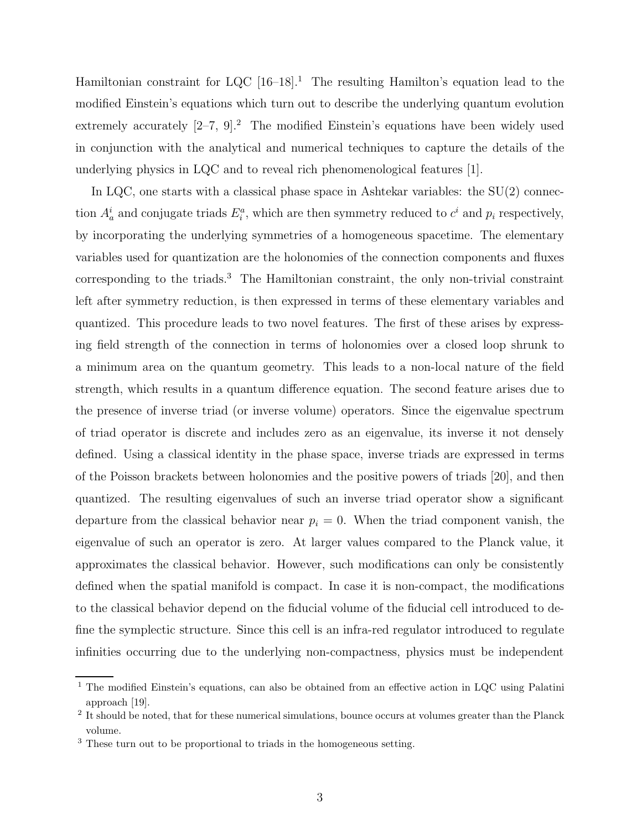Hamiltonian constraint for LQC  $[16–18]$ <sup>1</sup>. The resulting Hamilton's equation lead to the modified Einstein's equations which turn out to describe the underlying quantum evolution extremely accurately  $[2-7, 9]$ .<sup>2</sup> The modified Einstein's equations have been widely used in conjunction with the analytical and numerical techniques to capture the details of the underlying physics in  $LQC$  and to reveal rich phenomenological features  $|1|$ .

In LQC, one starts with a classical phase space in Ashtekar variables: the SU(2) connection  $A_a^i$  and conjugate triads  $E_i^a$ , which are then symmetry reduced to  $c^i$  and  $p_i$  respectively, by incorporating the underlying symmetries of a homogeneous spacetime. The elementary variables used for quantization are the holonomies of the connection components and fluxes corresponding to the triads.<sup>3</sup> The Hamiltonian constraint, the only non-trivial constraint left after symmetry reduction, is then expressed in terms of these elementary variables and quantized. This procedure leads to two novel features. The first of these arises by expressing field strength of the connection in terms of holonomies over a closed loop shrunk to a minimum area on the quantum geometry. This leads to a non-local nature of the field strength, which results in a quantum difference equation. The second feature arises due to the presence of inverse triad (or inverse volume) operators. Since the eigenvalue spectrum of triad operator is discrete and includes zero as an eigenvalue, its inverse it not densely defined. Using a classical identity in the phase space, inverse triads are expressed in terms of the Poisson brackets between holonomies and the positive powers of triads [20], and then quantized. The resulting eigenvalues of such an inverse triad operator show a significant departure from the classical behavior near  $p_i = 0$ . When the triad component vanish, the eigenvalue of such an operator is zero. At larger values compared to the Planck value, it approximates the classical behavior. However, such modifications can only be consistently defined when the spatial manifold is compact. In case it is non-compact, the modifications to the classical behavior depend on the fiducial volume of the fiducial cell introduced to define the symplectic structure. Since this cell is an infra-red regulator introduced to regulate infinities occurring due to the underlying non-compactness, physics must be independent

<sup>&</sup>lt;sup>1</sup> The modified Einstein's equations, can also be obtained from an effective action in LQC using Palatini approach [19].

<sup>&</sup>lt;sup>2</sup> It should be noted, that for these numerical simulations, bounce occurs at volumes greater than the Planck volume.

<sup>&</sup>lt;sup>3</sup> These turn out to be proportional to triads in the homogeneous setting.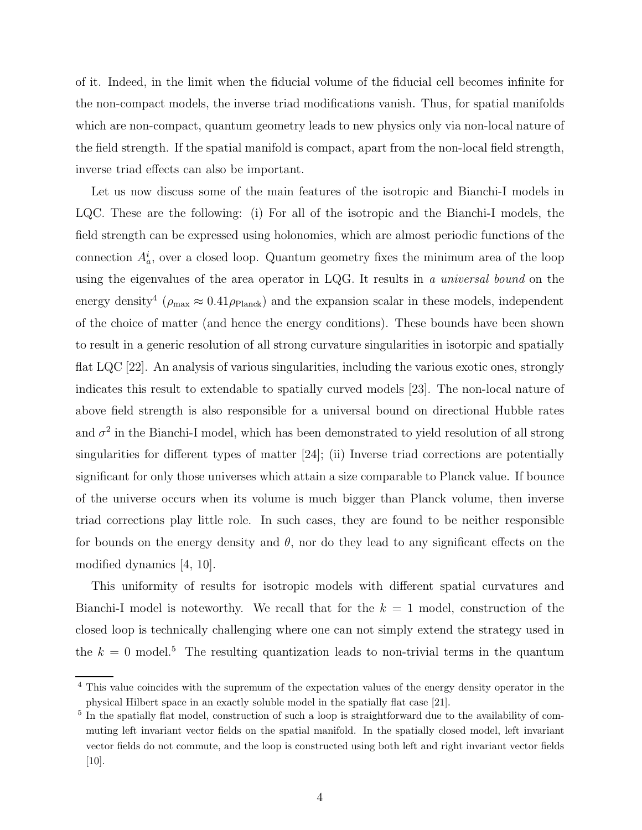of it. Indeed, in the limit when the fiducial volume of the fiducial cell becomes infinite for the non-compact models, the inverse triad modifications vanish. Thus, for spatial manifolds which are non-compact, quantum geometry leads to new physics only via non-local nature of the field strength. If the spatial manifold is compact, apart from the non-local field strength, inverse triad effects can also be important.

Let us now discuss some of the main features of the isotropic and Bianchi-I models in LQC. These are the following: (i) For all of the isotropic and the Bianchi-I models, the field strength can be expressed using holonomies, which are almost periodic functions of the connection  $A_a^i$ , over a closed loop. Quantum geometry fixes the minimum area of the loop using the eigenvalues of the area operator in LQG. It results in a universal bound on the energy density<sup>4</sup> ( $\rho_{\text{max}} \approx 0.41 \rho_{\text{Planck}}$ ) and the expansion scalar in these models, independent of the choice of matter (and hence the energy conditions). These bounds have been shown to result in a generic resolution of all strong curvature singularities in isotorpic and spatially flat LQC [22]. An analysis of various singularities, including the various exotic ones, strongly indicates this result to extendable to spatially curved models [23]. The non-local nature of above field strength is also responsible for a universal bound on directional Hubble rates and  $\sigma^2$  in the Bianchi-I model, which has been demonstrated to yield resolution of all strong singularities for different types of matter [24]; (ii) Inverse triad corrections are potentially significant for only those universes which attain a size comparable to Planck value. If bounce of the universe occurs when its volume is much bigger than Planck volume, then inverse triad corrections play little role. In such cases, they are found to be neither responsible for bounds on the energy density and  $\theta$ , nor do they lead to any significant effects on the modified dynamics [4, 10].

This uniformity of results for isotropic models with different spatial curvatures and Bianchi-I model is noteworthy. We recall that for the  $k = 1$  model, construction of the closed loop is technically challenging where one can not simply extend the strategy used in the  $k = 0$  model.<sup>5</sup> The resulting quantization leads to non-trivial terms in the quantum

<sup>4</sup> This value coincides with the supremum of the expectation values of the energy density operator in the physical Hilbert space in an exactly soluble model in the spatially flat case [21].

<sup>&</sup>lt;sup>5</sup> In the spatially flat model, construction of such a loop is straightforward due to the availability of commuting left invariant vector fields on the spatial manifold. In the spatially closed model, left invariant vector fields do not commute, and the loop is constructed using both left and right invariant vector fields [10].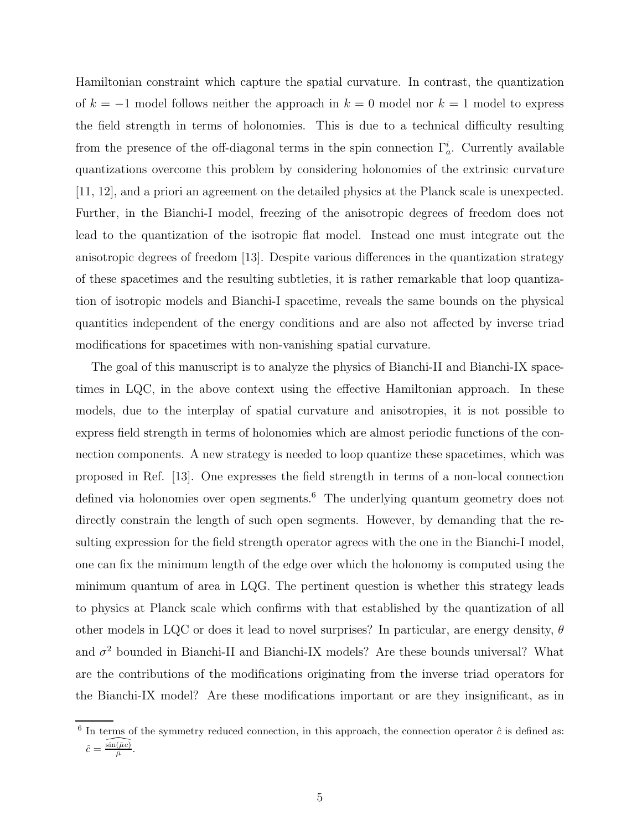Hamiltonian constraint which capture the spatial curvature. In contrast, the quantization of  $k = -1$  model follows neither the approach in  $k = 0$  model nor  $k = 1$  model to express the field strength in terms of holonomies. This is due to a technical difficulty resulting from the presence of the off-diagonal terms in the spin connection  $\Gamma_a^i$ . Currently available quantizations overcome this problem by considering holonomies of the extrinsic curvature [11, 12], and a priori an agreement on the detailed physics at the Planck scale is unexpected. Further, in the Bianchi-I model, freezing of the anisotropic degrees of freedom does not lead to the quantization of the isotropic flat model. Instead one must integrate out the anisotropic degrees of freedom [13]. Despite various differences in the quantization strategy of these spacetimes and the resulting subtleties, it is rather remarkable that loop quantization of isotropic models and Bianchi-I spacetime, reveals the same bounds on the physical quantities independent of the energy conditions and are also not affected by inverse triad modifications for spacetimes with non-vanishing spatial curvature.

The goal of this manuscript is to analyze the physics of Bianchi-II and Bianchi-IX spacetimes in LQC, in the above context using the effective Hamiltonian approach. In these models, due to the interplay of spatial curvature and anisotropies, it is not possible to express field strength in terms of holonomies which are almost periodic functions of the connection components. A new strategy is needed to loop quantize these spacetimes, which was proposed in Ref. [13]. One expresses the field strength in terms of a non-local connection defined via holonomies over open segments.<sup>6</sup> The underlying quantum geometry does not directly constrain the length of such open segments. However, by demanding that the resulting expression for the field strength operator agrees with the one in the Bianchi-I model, one can fix the minimum length of the edge over which the holonomy is computed using the minimum quantum of area in LQG. The pertinent question is whether this strategy leads to physics at Planck scale which confirms with that established by the quantization of all other models in LQC or does it lead to novel surprises? In particular, are energy density,  $\theta$ and  $\sigma^2$  bounded in Bianchi-II and Bianchi-IX models? Are these bounds universal? What are the contributions of the modifications originating from the inverse triad operators for the Bianchi-IX model? Are these modifications important or are they insignificant, as in

 $6$  In terms of the symmetry reduced connection, in this approach, the connection operator  $\hat{c}$  is defined as:  $\hat{c} = \widehat{\frac{\sin(\bar{\mu}c)}{\bar{\mu}}}$  $\frac{(\mu c)}{\bar{\mu}}.$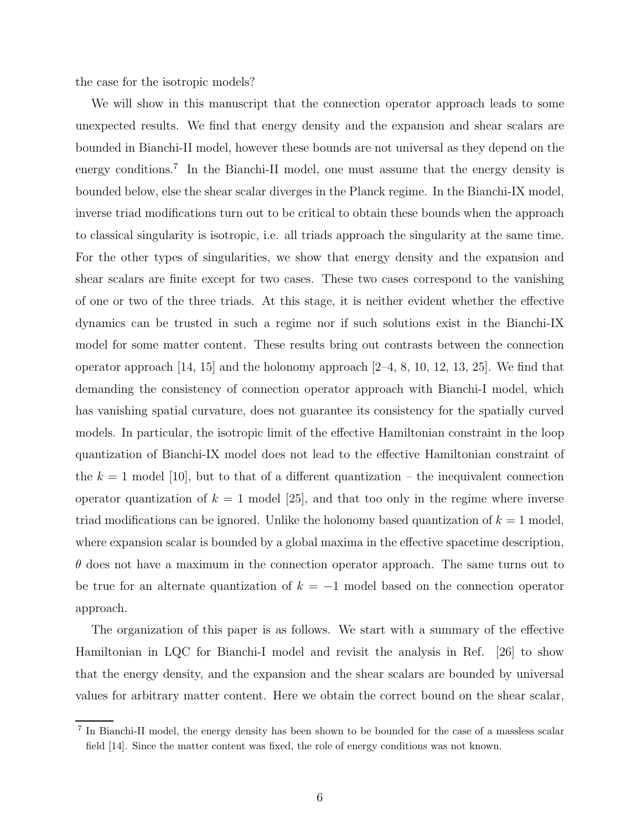the case for the isotropic models?

We will show in this manuscript that the connection operator approach leads to some unexpected results. We find that energy density and the expansion and shear scalars are bounded in Bianchi-II model, however these bounds are not universal as they depend on the energy conditions.<sup>7</sup> In the Bianchi-II model, one must assume that the energy density is bounded below, else the shear scalar diverges in the Planck regime. In the Bianchi-IX model, inverse triad modifications turn out to be critical to obtain these bounds when the approach to classical singularity is isotropic, i.e. all triads approach the singularity at the same time. For the other types of singularities, we show that energy density and the expansion and shear scalars are finite except for two cases. These two cases correspond to the vanishing of one or two of the three triads. At this stage, it is neither evident whether the effective dynamics can be trusted in such a regime nor if such solutions exist in the Bianchi-IX model for some matter content. These results bring out contrasts between the connection operator approach  $(14, 15)$  and the holonomy approach  $(2-4, 8, 10, 12, 13, 25)$ . We find that demanding the consistency of connection operator approach with Bianchi-I model, which has vanishing spatial curvature, does not guarantee its consistency for the spatially curved models. In particular, the isotropic limit of the effective Hamiltonian constraint in the loop quantization of Bianchi-IX model does not lead to the effective Hamiltonian constraint of the  $k = 1$  model [10], but to that of a different quantization – the inequivalent connection operator quantization of  $k = 1$  model [25], and that too only in the regime where inverse triad modifications can be ignored. Unlike the holonomy based quantization of  $k = 1$  model, where expansion scalar is bounded by a global maxima in the effective spacetime description,  $\theta$  does not have a maximum in the connection operator approach. The same turns out to be true for an alternate quantization of  $k = -1$  model based on the connection operator approach.

The organization of this paper is as follows. We start with a summary of the effective Hamiltonian in LQC for Bianchi-I model and revisit the analysis in Ref. [26] to show that the energy density, and the expansion and the shear scalars are bounded by universal values for arbitrary matter content. Here we obtain the correct bound on the shear scalar,

<sup>&</sup>lt;sup>7</sup> In Bianchi-II model, the energy density has been shown to be bounded for the case of a massless scalar field [14]. Since the matter content was fixed, the role of energy conditions was not known.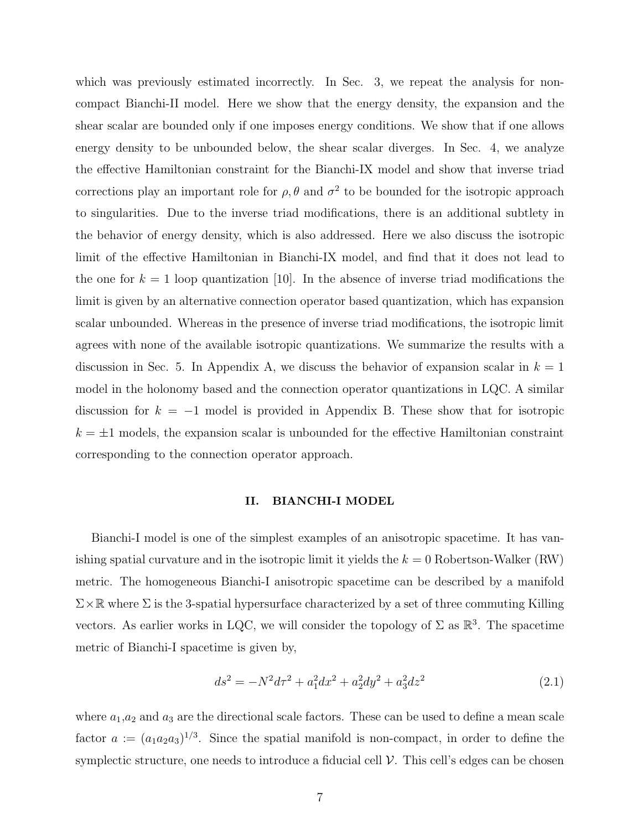which was previously estimated incorrectly. In Sec. 3, we repeat the analysis for noncompact Bianchi-II model. Here we show that the energy density, the expansion and the shear scalar are bounded only if one imposes energy conditions. We show that if one allows energy density to be unbounded below, the shear scalar diverges. In Sec. 4, we analyze the effective Hamiltonian constraint for the Bianchi-IX model and show that inverse triad corrections play an important role for  $\rho$ ,  $\theta$  and  $\sigma^2$  to be bounded for the isotropic approach to singularities. Due to the inverse triad modifications, there is an additional subtlety in the behavior of energy density, which is also addressed. Here we also discuss the isotropic limit of the effective Hamiltonian in Bianchi-IX model, and find that it does not lead to the one for  $k = 1$  loop quantization [10]. In the absence of inverse triad modifications the limit is given by an alternative connection operator based quantization, which has expansion scalar unbounded. Whereas in the presence of inverse triad modifications, the isotropic limit agrees with none of the available isotropic quantizations. We summarize the results with a discussion in Sec. 5. In Appendix A, we discuss the behavior of expansion scalar in  $k = 1$ model in the holonomy based and the connection operator quantizations in LQC. A similar discussion for  $k = -1$  model is provided in Appendix B. These show that for isotropic  $k = \pm 1$  models, the expansion scalar is unbounded for the effective Hamiltonian constraint corresponding to the connection operator approach.

#### II. BIANCHI-I MODEL

Bianchi-I model is one of the simplest examples of an anisotropic spacetime. It has vanishing spatial curvature and in the isotropic limit it yields the  $k = 0$  Robertson-Walker (RW) metric. The homogeneous Bianchi-I anisotropic spacetime can be described by a manifold  $\Sigma\times\mathbb{R}$  where  $\Sigma$  is the 3-spatial hypersurface characterized by a set of three commuting Killing vectors. As earlier works in LQC, we will consider the topology of  $\Sigma$  as  $\mathbb{R}^3$ . The spacetime metric of Bianchi-I spacetime is given by,

$$
ds^{2} = -N^{2}d\tau^{2} + a_{1}^{2}dx^{2} + a_{2}^{2}dy^{2} + a_{3}^{2}dz^{2}
$$
\n(2.1)

where  $a_1, a_2$  and  $a_3$  are the directional scale factors. These can be used to define a mean scale factor  $a := (a_1 a_2 a_3)^{1/3}$ . Since the spatial manifold is non-compact, in order to define the symplectic structure, one needs to introduce a fiducial cell  $\mathcal V$ . This cell's edges can be chosen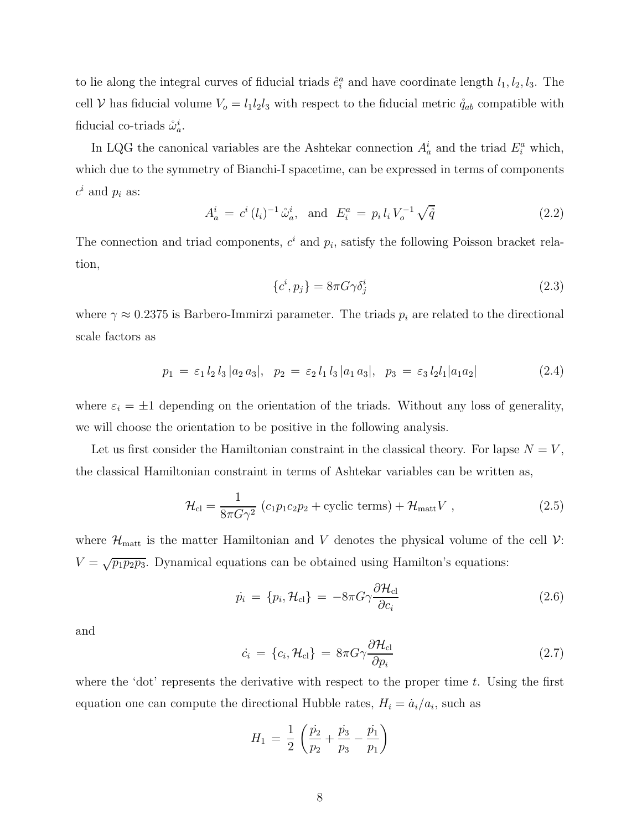to lie along the integral curves of fiducial triads  $\hat{e}_i^a$  and have coordinate length  $l_1, l_2, l_3$ . The cell V has fiducial volume  $V_o = l_1 l_2 l_3$  with respect to the fiducial metric  $\mathring{q}_{ab}$  compatible with fiducial co-triads  $\mathring{\omega}_a^i$ .

In LQG the canonical variables are the Ashtekar connection  $A_a^i$  and the triad  $E_i^a$  which, which due to the symmetry of Bianchi-I spacetime, can be expressed in terms of components  $c^i$  and  $p_i$  as:

$$
A_a^i = c^i (l_i)^{-1} \mathring{\omega}_a^i, \text{ and } E_i^a = p_i l_i V_o^{-1} \sqrt{\mathring{q}}
$$
 (2.2)

The connection and triad components,  $c^i$  and  $p_i$ , satisfy the following Poisson bracket relation,

$$
\{c^i, p_j\} = 8\pi G \gamma \delta^i_j \tag{2.3}
$$

where  $\gamma \approx 0.2375$  is Barbero-Immirzi parameter. The triads  $p_i$  are related to the directional scale factors as

$$
p_1 = \varepsilon_1 l_2 l_3 |a_2 a_3|, \quad p_2 = \varepsilon_2 l_1 l_3 |a_1 a_3|, \quad p_3 = \varepsilon_3 l_2 l_1 |a_1 a_2| \tag{2.4}
$$

where  $\varepsilon_i = \pm 1$  depending on the orientation of the triads. Without any loss of generality, we will choose the orientation to be positive in the following analysis.

Let us first consider the Hamiltonian constraint in the classical theory. For lapse  $N = V$ , the classical Hamiltonian constraint in terms of Ashtekar variables can be written as,

$$
\mathcal{H}_{\rm cl} = \frac{1}{8\pi G\gamma^2} \left( c_1 p_1 c_2 p_2 + \text{cyclic terms} \right) + \mathcal{H}_{\rm matt} V \;, \tag{2.5}
$$

where  $\mathcal{H}_{\text{matt}}$  is the matter Hamiltonian and V denotes the physical volume of the cell  $\mathcal{V}$ :  $V = \sqrt{p_1 p_2 p_3}$ . Dynamical equations can be obtained using Hamilton's equations:

$$
\dot{p}_i = \{p_i, \mathcal{H}_{cl}\} = -8\pi G \gamma \frac{\partial \mathcal{H}_{cl}}{\partial c_i} \tag{2.6}
$$

and

$$
\dot{c}_i = \{c_i, \mathcal{H}_{cl}\} = 8\pi G \gamma \frac{\partial \mathcal{H}_{cl}}{\partial p_i}
$$
\n(2.7)

where the 'dot' represents the derivative with respect to the proper time  $t$ . Using the first equation one can compute the directional Hubble rates,  $H_i = \dot{a}_i/a_i$ , such as

$$
H_1 = \frac{1}{2} \left( \frac{\dot{p}_2}{p_2} + \frac{\dot{p}_3}{p_3} - \frac{\dot{p}_1}{p_1} \right)
$$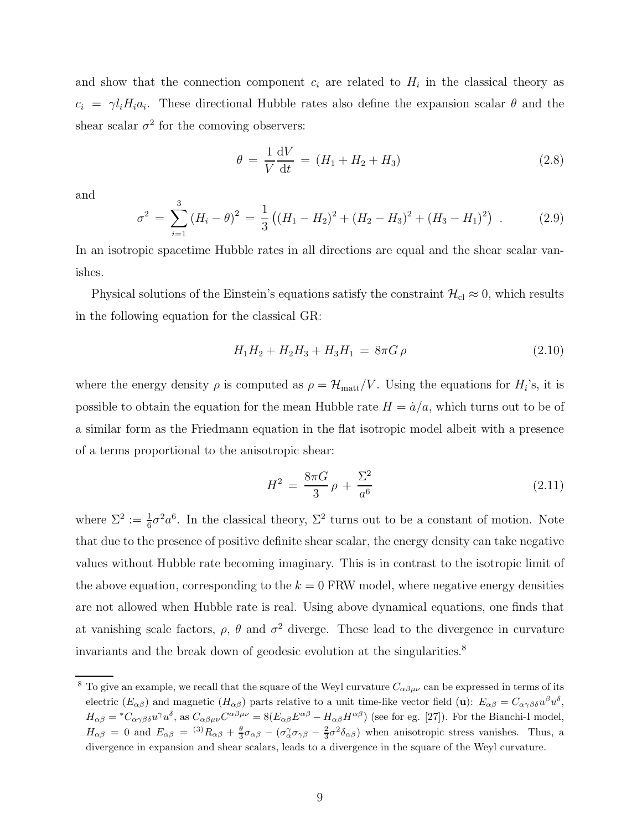and show that the connection component  $c_i$  are related to  $H_i$  in the classical theory as  $c_i = \gamma l_i H_i a_i$ . These directional Hubble rates also define the expansion scalar  $\theta$  and the shear scalar  $\sigma^2$  for the comoving observers:

$$
\theta = \frac{1}{V} \frac{dV}{dt} = (H_1 + H_2 + H_3) \tag{2.8}
$$

and

$$
\sigma^2 = \sum_{i=1}^3 (H_i - \theta)^2 = \frac{1}{3} ((H_1 - H_2)^2 + (H_2 - H_3)^2 + (H_3 - H_1)^2) \tag{2.9}
$$

In an isotropic spacetime Hubble rates in all directions are equal and the shear scalar vanishes.

Physical solutions of the Einstein's equations satisfy the constraint  $\mathcal{H}_{\text{cl}} \approx 0$ , which results in the following equation for the classical GR:

$$
H_1 H_2 + H_2 H_3 + H_3 H_1 = 8\pi G \rho \qquad (2.10)
$$

where the energy density  $\rho$  is computed as  $\rho = \mathcal{H}_{\text{matt}}/V$ . Using the equations for  $H_i$ 's, it is possible to obtain the equation for the mean Hubble rate  $H = \dot{a}/a$ , which turns out to be of a similar form as the Friedmann equation in the flat isotropic model albeit with a presence of a terms proportional to the anisotropic shear:

$$
H^2 = \frac{8\pi G}{3}\rho + \frac{\Sigma^2}{a^6} \tag{2.11}
$$

where  $\Sigma^2 := \frac{1}{6}\sigma^2 a^6$ . In the classical theory,  $\Sigma^2$  turns out to be a constant of motion. Note that due to the presence of positive definite shear scalar, the energy density can take negative values without Hubble rate becoming imaginary. This is in contrast to the isotropic limit of the above equation, corresponding to the  $k = 0$  FRW model, where negative energy densities are not allowed when Hubble rate is real. Using above dynamical equations, one finds that at vanishing scale factors,  $\rho$ ,  $\theta$  and  $\sigma^2$  diverge. These lead to the divergence in curvature invariants and the break down of geodesic evolution at the singularities. $8$ 

<sup>&</sup>lt;sup>8</sup> To give an example, we recall that the square of the Weyl curvature  $C_{\alpha\beta\mu\nu}$  can be expressed in terms of its electric  $(E_{\alpha\beta})$  and magnetic  $(H_{\alpha\beta})$  parts relative to a unit time-like vector field (u):  $E_{\alpha\beta} = C_{\alpha\gamma\beta\delta}u^{\beta}u^{\delta}$ ,  $H_{\alpha\beta} = {}^{*}C_{\alpha\gamma\beta\delta}u^{\gamma}u^{\delta}$ , as  $C_{\alpha\beta\mu\nu}C^{\alpha\beta\mu\nu} = 8(E_{\alpha\beta}E^{\alpha\beta} - H_{\alpha\beta}H^{\alpha\beta})$  (see for eg. [27]). For the Bianchi-I model,  $H_{\alpha\beta} = 0$  and  $E_{\alpha\beta} = {}^{(3)}R_{\alpha\beta} + \frac{\theta}{3}\sigma_{\alpha\beta} - (\sigma_{\alpha}^{\gamma}\sigma_{\gamma\beta} - \frac{2}{3}\sigma^2\delta_{\alpha\beta})$  when anisotropic stress vanishes. Thus, a divergence in expansion and shear scalars, leads to a divergence in the square of the Weyl curvature.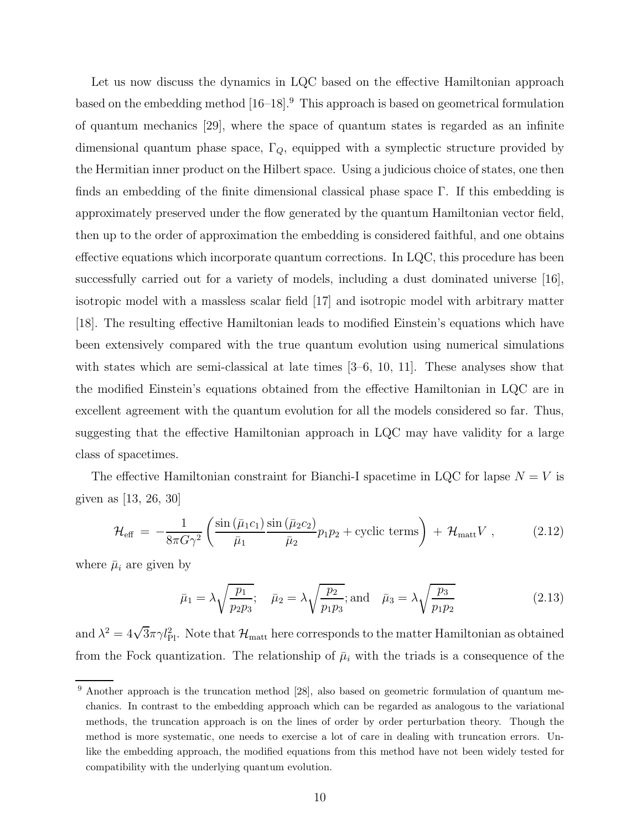Let us now discuss the dynamics in LQC based on the effective Hamiltonian approach based on the embedding method [16–18].<sup>9</sup> This approach is based on geometrical formulation of quantum mechanics [29], where the space of quantum states is regarded as an infinite dimensional quantum phase space,  $\Gamma_Q$ , equipped with a symplectic structure provided by the Hermitian inner product on the Hilbert space. Using a judicious choice of states, one then finds an embedding of the finite dimensional classical phase space  $\Gamma$ . If this embedding is approximately preserved under the flow generated by the quantum Hamiltonian vector field, then up to the order of approximation the embedding is considered faithful, and one obtains effective equations which incorporate quantum corrections. In LQC, this procedure has been successfully carried out for a variety of models, including a dust dominated universe [16], isotropic model with a massless scalar field [17] and isotropic model with arbitrary matter [18]. The resulting effective Hamiltonian leads to modified Einstein's equations which have been extensively compared with the true quantum evolution using numerical simulations with states which are semi-classical at late times  $[3-6, 10, 11]$ . These analyses show that the modified Einstein's equations obtained from the effective Hamiltonian in LQC are in excellent agreement with the quantum evolution for all the models considered so far. Thus, suggesting that the effective Hamiltonian approach in LQC may have validity for a large class of spacetimes.

The effective Hamiltonian constraint for Bianchi-I spacetime in LQC for lapse  $N = V$  is given as [13, 26, 30]

$$
\mathcal{H}_{\text{eff}} = -\frac{1}{8\pi G\gamma^2} \left( \frac{\sin\left(\bar{\mu}_1 c_1\right)}{\bar{\mu}_1} \frac{\sin\left(\bar{\mu}_2 c_2\right)}{\bar{\mu}_2} p_1 p_2 + \text{cyclic terms} \right) + \mathcal{H}_{\text{matt}} V ,\qquad (2.12)
$$

where  $\bar{\mu}_i$  are given by

$$
\bar{\mu}_1 = \lambda \sqrt{\frac{p_1}{p_2 p_3}}; \quad \bar{\mu}_2 = \lambda \sqrt{\frac{p_2}{p_1 p_3}}; \text{and} \quad \bar{\mu}_3 = \lambda \sqrt{\frac{p_3}{p_1 p_2}} \tag{2.13}
$$

and  $\lambda^2 = 4\sqrt{3}\pi\gamma l_{\rm Pl}^2$ . Note that  $\mathcal{H}_{\rm matt}$  here corresponds to the matter Hamiltonian as obtained from the Fock quantization. The relationship of  $\bar{\mu}_i$  with the triads is a consequence of the

<sup>&</sup>lt;sup>9</sup> Another approach is the truncation method [28], also based on geometric formulation of quantum mechanics. In contrast to the embedding approach which can be regarded as analogous to the variational methods, the truncation approach is on the lines of order by order perturbation theory. Though the method is more systematic, one needs to exercise a lot of care in dealing with truncation errors. Unlike the embedding approach, the modified equations from this method have not been widely tested for compatibility with the underlying quantum evolution.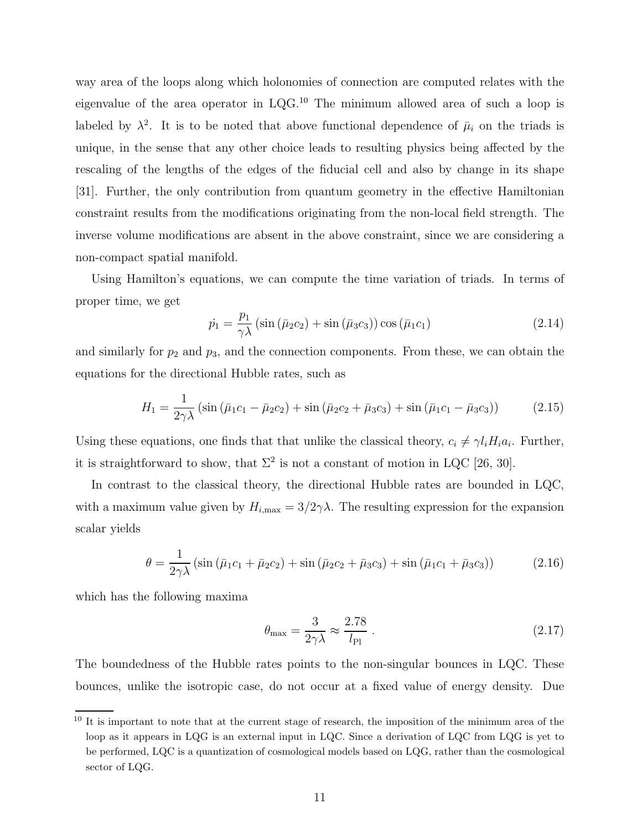way area of the loops along which holonomies of connection are computed relates with the eigenvalue of the area operator in LQG.<sup>10</sup> The minimum allowed area of such a loop is labeled by  $\lambda^2$ . It is to be noted that above functional dependence of  $\bar{\mu}_i$  on the triads is unique, in the sense that any other choice leads to resulting physics being affected by the rescaling of the lengths of the edges of the fiducial cell and also by change in its shape [31]. Further, the only contribution from quantum geometry in the effective Hamiltonian constraint results from the modifications originating from the non-local field strength. The inverse volume modifications are absent in the above constraint, since we are considering a non-compact spatial manifold.

Using Hamilton's equations, we can compute the time variation of triads. In terms of proper time, we get

$$
\dot{p}_1 = \frac{p_1}{\gamma \lambda} \left( \sin \left( \bar{\mu}_2 c_2 \right) + \sin \left( \bar{\mu}_3 c_3 \right) \right) \cos \left( \bar{\mu}_1 c_1 \right) \tag{2.14}
$$

and similarly for  $p_2$  and  $p_3$ , and the connection components. From these, we can obtain the equations for the directional Hubble rates, such as

$$
H_1 = \frac{1}{2\gamma\lambda} \left( \sin\left(\bar{\mu}_1 c_1 - \bar{\mu}_2 c_2\right) + \sin\left(\bar{\mu}_2 c_2 + \bar{\mu}_3 c_3\right) + \sin\left(\bar{\mu}_1 c_1 - \bar{\mu}_3 c_3\right) \right) \tag{2.15}
$$

Using these equations, one finds that that unlike the classical theory,  $c_i \neq \gamma l_i H_i a_i$ . Further, it is straightforward to show, that  $\Sigma^2$  is not a constant of motion in LQC [26, 30].

In contrast to the classical theory, the directional Hubble rates are bounded in LQC, with a maximum value given by  $H_{i, max} = 3/2\gamma\lambda$ . The resulting expression for the expansion scalar yields

$$
\theta = \frac{1}{2\gamma\lambda} \left( \sin\left(\bar{\mu}_1 c_1 + \bar{\mu}_2 c_2\right) + \sin\left(\bar{\mu}_2 c_2 + \bar{\mu}_3 c_3\right) + \sin\left(\bar{\mu}_1 c_1 + \bar{\mu}_3 c_3\right) \right) \tag{2.16}
$$

which has the following maxima

$$
\theta_{\text{max}} = \frac{3}{2\gamma\lambda} \approx \frac{2.78}{l_{\text{Pl}}} \,. \tag{2.17}
$$

The boundedness of the Hubble rates points to the non-singular bounces in LQC. These bounces, unlike the isotropic case, do not occur at a fixed value of energy density. Due

<sup>&</sup>lt;sup>10</sup> It is important to note that at the current stage of research, the imposition of the minimum area of the loop as it appears in LQG is an external input in LQC. Since a derivation of LQC from LQG is yet to be performed, LQC is a quantization of cosmological models based on LQG, rather than the cosmological sector of LQG.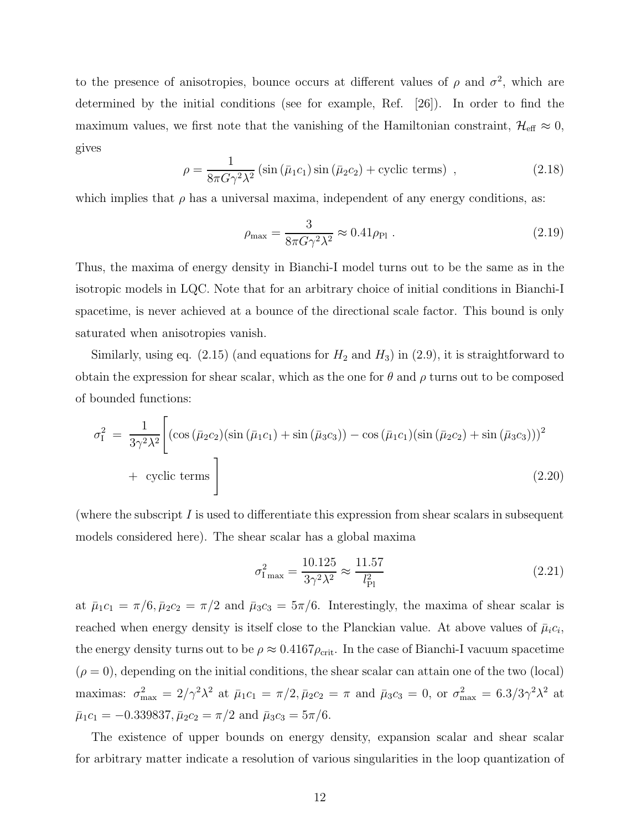to the presence of anisotropies, bounce occurs at different values of  $\rho$  and  $\sigma^2$ , which are determined by the initial conditions (see for example, Ref. [26]). In order to find the maximum values, we first note that the vanishing of the Hamiltonian constraint,  $\mathcal{H}_{\text{eff}} \approx 0$ , gives

$$
\rho = \frac{1}{8\pi G \gamma^2 \lambda^2} \left( \sin \left( \bar{\mu}_1 c_1 \right) \sin \left( \bar{\mu}_2 c_2 \right) + \text{cyclic terms} \right) , \qquad (2.18)
$$

which implies that  $\rho$  has a universal maxima, independent of any energy conditions, as:

$$
\rho_{\text{max}} = \frac{3}{8\pi G \gamma^2 \lambda^2} \approx 0.41 \rho_{\text{Pl}} \tag{2.19}
$$

Thus, the maxima of energy density in Bianchi-I model turns out to be the same as in the isotropic models in LQC. Note that for an arbitrary choice of initial conditions in Bianchi-I spacetime, is never achieved at a bounce of the directional scale factor. This bound is only saturated when anisotropies vanish.

Similarly, using eq.  $(2.15)$  (and equations for  $H_2$  and  $H_3$ ) in  $(2.9)$ , it is straightforward to obtain the expression for shear scalar, which as the one for  $\theta$  and  $\rho$  turns out to be composed of bounded functions:

$$
\sigma_{\rm I}^2 = \frac{1}{3\gamma^2\lambda^2} \Bigg[ (\cos\left(\bar{\mu}_2 c_2\right) \left(\sin\left(\bar{\mu}_1 c_1\right) + \sin\left(\bar{\mu}_3 c_3\right)\right) - \cos\left(\bar{\mu}_1 c_1\right) \left(\sin\left(\bar{\mu}_2 c_2\right) + \sin\left(\bar{\mu}_3 c_3\right)\right))^2 + \text{ cyclic terms} \Bigg]
$$
\n(2.20)

(where the subscript  $I$  is used to differentiate this expression from shear scalars in subsequent models considered here). The shear scalar has a global maxima

$$
\sigma_{\rm I\,max}^2 = \frac{10.125}{3\gamma^2\lambda^2} \approx \frac{11.57}{l_{\rm Pl}^2} \tag{2.21}
$$

at  $\bar{\mu}_1 c_1 = \pi/6$ ,  $\bar{\mu}_2 c_2 = \pi/2$  and  $\bar{\mu}_3 c_3 = 5\pi/6$ . Interestingly, the maxima of shear scalar is reached when energy density is itself close to the Planckian value. At above values of  $\bar{\mu}_i c_i$ , the energy density turns out to be  $\rho \approx 0.4167 \rho_{\rm crit}$ . In the case of Bianchi-I vacuum spacetime  $(\rho = 0)$ , depending on the initial conditions, the shear scalar can attain one of the two (local) maximas:  $\sigma_{\text{max}}^2 = 2/\gamma^2 \lambda^2$  at  $\bar{\mu}_1 c_1 = \pi/2, \bar{\mu}_2 c_2 = \pi$  and  $\bar{\mu}_3 c_3 = 0$ , or  $\sigma_{\text{max}}^2 = 6.3/3\gamma^2 \lambda^2$  at  $\bar{\mu}_1 c_1 = -0.339837, \bar{\mu}_2 c_2 = \pi/2$  and  $\bar{\mu}_3 c_3 = 5\pi/6.$ 

The existence of upper bounds on energy density, expansion scalar and shear scalar for arbitrary matter indicate a resolution of various singularities in the loop quantization of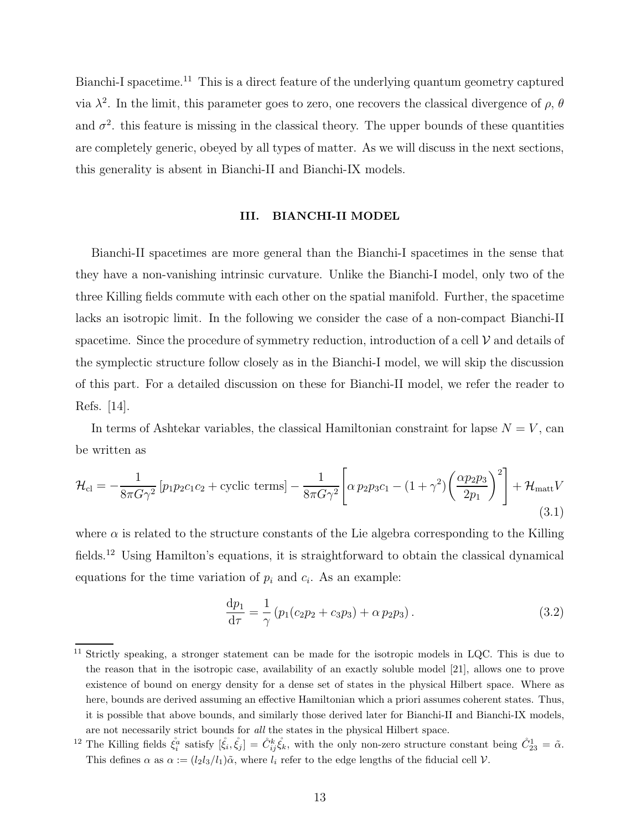Bianchi-I spacetime.<sup>11</sup> This is a direct feature of the underlying quantum geometry captured via  $\lambda^2$ . In the limit, this parameter goes to zero, one recovers the classical divergence of  $\rho$ ,  $\theta$ and  $\sigma^2$ , this feature is missing in the classical theory. The upper bounds of these quantities are completely generic, obeyed by all types of matter. As we will discuss in the next sections, this generality is absent in Bianchi-II and Bianchi-IX models.

#### III. BIANCHI-II MODEL

Bianchi-II spacetimes are more general than the Bianchi-I spacetimes in the sense that they have a non-vanishing intrinsic curvature. Unlike the Bianchi-I model, only two of the three Killing fields commute with each other on the spatial manifold. Further, the spacetime lacks an isotropic limit. In the following we consider the case of a non-compact Bianchi-II spacetime. Since the procedure of symmetry reduction, introduction of a cell  $\mathcal V$  and details of the symplectic structure follow closely as in the Bianchi-I model, we will skip the discussion of this part. For a detailed discussion on these for Bianchi-II model, we refer the reader to Refs. [14].

In terms of Ashtekar variables, the classical Hamiltonian constraint for lapse  $N = V$ , can be written as

$$
\mathcal{H}_{\rm cl} = -\frac{1}{8\pi G\gamma^2} \left[ p_1 p_2 c_1 c_2 + \text{cyclic terms} \right] - \frac{1}{8\pi G\gamma^2} \left[ \alpha \, p_2 p_3 c_1 - (1+\gamma^2) \left( \frac{\alpha p_2 p_3}{2p_1} \right)^2 \right] + \mathcal{H}_{\rm matt} V \tag{3.1}
$$

where  $\alpha$  is related to the structure constants of the Lie algebra corresponding to the Killing fields.<sup>12</sup> Using Hamilton's equations, it is straightforward to obtain the classical dynamical equations for the time variation of  $p_i$  and  $c_i$ . As an example:

$$
\frac{dp_1}{d\tau} = \frac{1}{\gamma} \left( p_1 (c_2 p_2 + c_3 p_3) + \alpha p_2 p_3 \right).
$$
 (3.2)

<sup>&</sup>lt;sup>11</sup> Strictly speaking, a stronger statement can be made for the isotropic models in LQC. This is due to the reason that in the isotropic case, availability of an exactly soluble model [21], allows one to prove existence of bound on energy density for a dense set of states in the physical Hilbert space. Where as here, bounds are derived assuming an effective Hamiltonian which a priori assumes coherent states. Thus, it is possible that above bounds, and similarly those derived later for Bianchi-II and Bianchi-IX models, are not necessarily strict bounds for all the states in the physical Hilbert space.

<sup>&</sup>lt;sup>12</sup> The Killing fields  $\dot{\xi}_i^a$  satisfy  $[\dot{\xi}_i, \dot{\xi}_j] = \dot{C}_{ij}^k \dot{\xi}_k$ , with the only non-zero structure constant being  $\dot{C}_{23}^1 = \tilde{\alpha}$ . This defines  $\alpha$  as  $\alpha := (l_2l_3/l_1)\tilde{\alpha}$ , where  $l_i$  refer to the edge lengths of the fiducial cell V.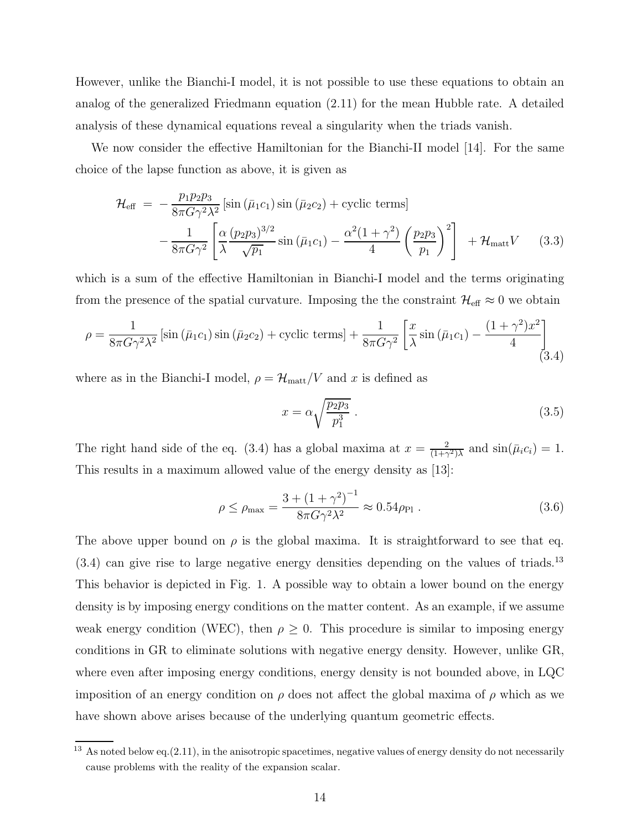However, unlike the Bianchi-I model, it is not possible to use these equations to obtain an analog of the generalized Friedmann equation (2.11) for the mean Hubble rate. A detailed analysis of these dynamical equations reveal a singularity when the triads vanish.

We now consider the effective Hamiltonian for the Bianchi-II model [14]. For the same choice of the lapse function as above, it is given as

$$
\mathcal{H}_{\text{eff}} = -\frac{p_1 p_2 p_3}{8\pi G \gamma^2 \lambda^2} \left[ \sin \left( \bar{\mu}_1 c_1 \right) \sin \left( \bar{\mu}_2 c_2 \right) + \text{cyclic terms} \right] \n- \frac{1}{8\pi G \gamma^2} \left[ \frac{\alpha}{\lambda} \frac{(p_2 p_3)^{3/2}}{\sqrt{p_1}} \sin \left( \bar{\mu}_1 c_1 \right) - \frac{\alpha^2 (1 + \gamma^2)}{4} \left( \frac{p_2 p_3}{p_1} \right)^2 \right] + \mathcal{H}_{\text{matt}} V \quad (3.3)
$$

which is a sum of the effective Hamiltonian in Bianchi-I model and the terms originating from the presence of the spatial curvature. Imposing the the constraint  $\mathcal{H}_{\text{eff}} \approx 0$  we obtain

$$
\rho = \frac{1}{8\pi G \gamma^2 \lambda^2} \left[ \sin\left(\bar{\mu}_1 c_1\right) \sin\left(\bar{\mu}_2 c_2\right) + \text{cyclic terms} \right] + \frac{1}{8\pi G \gamma^2} \left[ \frac{x}{\lambda} \sin\left(\bar{\mu}_1 c_1\right) - \frac{\left(1 + \gamma^2\right) x^2}{4} \right] \tag{3.4}
$$

where as in the Bianchi-I model,  $\rho = \mathcal{H}_{\mathrm{matt}}/V$  and  $x$  is defined as

$$
x = \alpha \sqrt{\frac{p_2 p_3}{p_1^3}} \tag{3.5}
$$

The right hand side of the eq. (3.4) has a global maxima at  $x = \frac{2}{(1+x)}$  $\frac{2}{(1+\gamma^2)\lambda}$  and  $\sin(\bar{\mu}_i c_i) = 1$ . This results in a maximum allowed value of the energy density as [13]:

$$
\rho \le \rho_{\text{max}} = \frac{3 + (1 + \gamma^2)^{-1}}{8\pi G \gamma^2 \lambda^2} \approx 0.54 \rho_{\text{Pl}} \tag{3.6}
$$

The above upper bound on  $\rho$  is the global maxima. It is straightforward to see that eq. (3.4) can give rise to large negative energy densities depending on the values of triads.<sup>13</sup> This behavior is depicted in Fig. 1. A possible way to obtain a lower bound on the energy density is by imposing energy conditions on the matter content. As an example, if we assume weak energy condition (WEC), then  $\rho \geq 0$ . This procedure is similar to imposing energy conditions in GR to eliminate solutions with negative energy density. However, unlike GR, where even after imposing energy conditions, energy density is not bounded above, in LQC imposition of an energy condition on  $\rho$  does not affect the global maxima of  $\rho$  which as we have shown above arises because of the underlying quantum geometric effects.

 $13$  As noted below eq.(2.11), in the anisotropic spacetimes, negative values of energy density do not necessarily cause problems with the reality of the expansion scalar.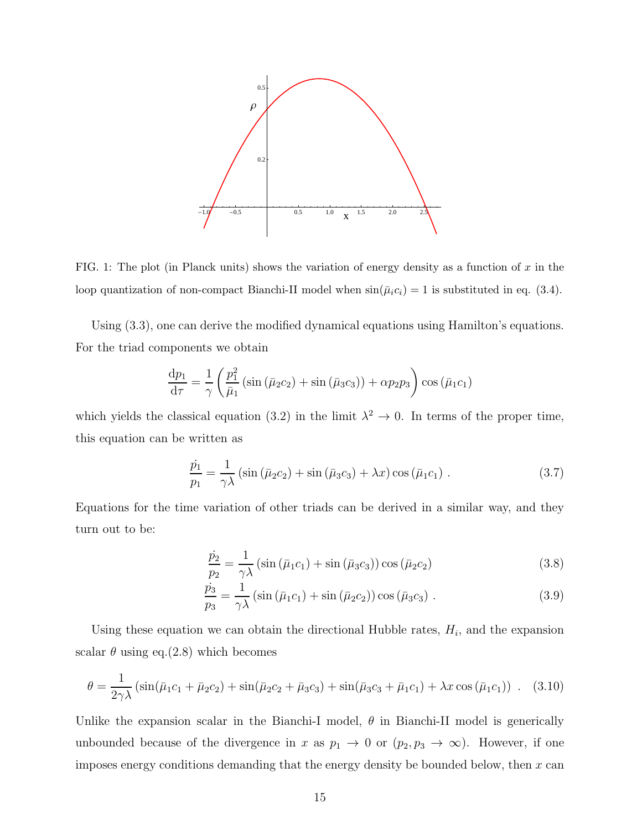

FIG. 1: The plot (in Planck units) shows the variation of energy density as a function of x in the loop quantization of non-compact Bianchi-II model when  $sin(\bar{\mu}_i c_i) = 1$  is substituted in eq. (3.4).

Using (3.3), one can derive the modified dynamical equations using Hamilton's equations. For the triad components we obtain

$$
\frac{\mathrm{d}p_1}{\mathrm{d}\tau} = \frac{1}{\gamma} \left( \frac{p_1^2}{\bar{\mu}_1} \left( \sin \left( \bar{\mu}_2 c_2 \right) + \sin \left( \bar{\mu}_3 c_3 \right) \right) + \alpha p_2 p_3 \right) \cos \left( \bar{\mu}_1 c_1 \right)
$$

which yields the classical equation (3.2) in the limit  $\lambda^2 \to 0$ . In terms of the proper time, this equation can be written as

$$
\frac{\dot{p}_1}{p_1} = \frac{1}{\gamma \lambda} \left( \sin \left( \bar{\mu}_2 c_2 \right) + \sin \left( \bar{\mu}_3 c_3 \right) + \lambda x \right) \cos \left( \bar{\mu}_1 c_1 \right) . \tag{3.7}
$$

Equations for the time variation of other triads can be derived in a similar way, and they turn out to be:

$$
\frac{\dot{p}_2}{p_2} = \frac{1}{\gamma \lambda} \left( \sin \left( \bar{\mu}_1 c_1 \right) + \sin \left( \bar{\mu}_3 c_3 \right) \right) \cos \left( \bar{\mu}_2 c_2 \right) \tag{3.8}
$$

$$
\frac{\dot{p}_3}{p_3} = \frac{1}{\gamma \lambda} \left( \sin \left( \bar{\mu}_1 c_1 \right) + \sin \left( \bar{\mu}_2 c_2 \right) \right) \cos \left( \bar{\mu}_3 c_3 \right) . \tag{3.9}
$$

Using these equation we can obtain the directional Hubble rates,  $H_i$ , and the expansion scalar  $\theta$  using eq.(2.8) which becomes

$$
\theta = \frac{1}{2\gamma\lambda} \left( \sin(\bar{\mu}_1 c_1 + \bar{\mu}_2 c_2) + \sin(\bar{\mu}_2 c_2 + \bar{\mu}_3 c_3) + \sin(\bar{\mu}_3 c_3 + \bar{\mu}_1 c_1) + \lambda x \cos(\bar{\mu}_1 c_1) \right) . \tag{3.10}
$$

Unlike the expansion scalar in the Bianchi-I model,  $\theta$  in Bianchi-II model is generically unbounded because of the divergence in x as  $p_1 \to 0$  or  $(p_2, p_3 \to \infty)$ . However, if one imposes energy conditions demanding that the energy density be bounded below, then  $x$  can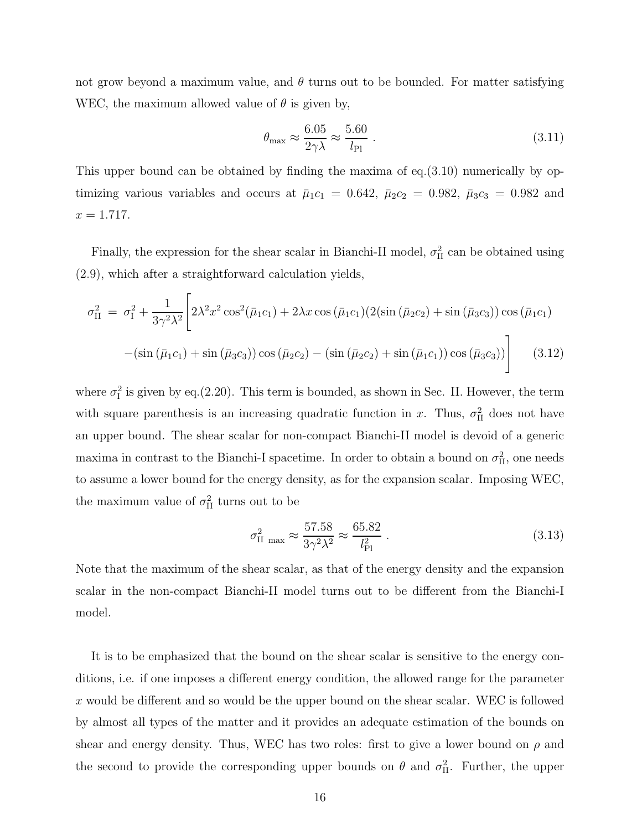not grow beyond a maximum value, and  $\theta$  turns out to be bounded. For matter satisfying WEC, the maximum allowed value of  $\theta$  is given by,

$$
\theta_{\text{max}} \approx \frac{6.05}{2\gamma\lambda} \approx \frac{5.60}{l_{\text{Pl}}} \tag{3.11}
$$

This upper bound can be obtained by finding the maxima of eq.(3.10) numerically by optimizing various variables and occurs at  $\bar{\mu}_1 c_1 = 0.642$ ,  $\bar{\mu}_2 c_2 = 0.982$ ,  $\bar{\mu}_3 c_3 = 0.982$  and  $x = 1.717.$ 

Finally, the expression for the shear scalar in Bianchi-II model,  $\sigma_{\text{II}}^2$  can be obtained using (2.9), which after a straightforward calculation yields,

$$
\sigma_{\text{II}}^2 = \sigma_1^2 + \frac{1}{3\gamma^2\lambda^2} \left[ 2\lambda^2 x^2 \cos^2(\bar{\mu}_1 c_1) + 2\lambda x \cos(\bar{\mu}_1 c_1) (2(\sin(\bar{\mu}_2 c_2) + \sin(\bar{\mu}_3 c_3)) \cos(\bar{\mu}_1 c_1) \right. \left. - (\sin(\bar{\mu}_1 c_1) + \sin(\bar{\mu}_3 c_3)) \cos(\bar{\mu}_2 c_2) - (\sin(\bar{\mu}_2 c_2) + \sin(\bar{\mu}_1 c_1)) \cos(\bar{\mu}_3 c_3)) \right]
$$
(3.12)

where  $\sigma_1^2$  is given by eq.(2.20). This term is bounded, as shown in Sec. II. However, the term with square parenthesis is an increasing quadratic function in x. Thus,  $\sigma_{\text{II}}^2$  does not have an upper bound. The shear scalar for non-compact Bianchi-II model is devoid of a generic maxima in contrast to the Bianchi-I spacetime. In order to obtain a bound on  $\sigma_{\text{II}}^2$ , one needs to assume a lower bound for the energy density, as for the expansion scalar. Imposing WEC, the maximum value of  $\sigma_{II}^2$  turns out to be

$$
\sigma_{\text{II max}}^2 \approx \frac{57.58}{3\gamma^2\lambda^2} \approx \frac{65.82}{l_{\text{Pl}}^2} \tag{3.13}
$$

Note that the maximum of the shear scalar, as that of the energy density and the expansion scalar in the non-compact Bianchi-II model turns out to be different from the Bianchi-I model.

It is to be emphasized that the bound on the shear scalar is sensitive to the energy conditions, i.e. if one imposes a different energy condition, the allowed range for the parameter x would be different and so would be the upper bound on the shear scalar. WEC is followed by almost all types of the matter and it provides an adequate estimation of the bounds on shear and energy density. Thus, WEC has two roles: first to give a lower bound on  $\rho$  and the second to provide the corresponding upper bounds on  $\theta$  and  $\sigma_{\text{II}}^2$ . Further, the upper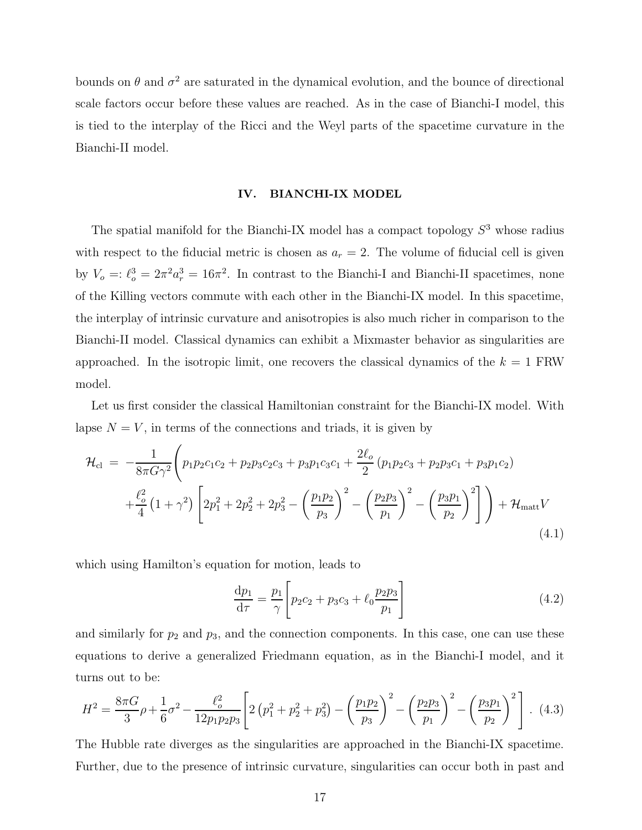bounds on  $\theta$  and  $\sigma^2$  are saturated in the dynamical evolution, and the bounce of directional scale factors occur before these values are reached. As in the case of Bianchi-I model, this is tied to the interplay of the Ricci and the Weyl parts of the spacetime curvature in the Bianchi-II model.

#### IV. BIANCHI-IX MODEL

The spatial manifold for the Bianchi-IX model has a compact topology  $S<sup>3</sup>$  whose radius with respect to the fiducial metric is chosen as  $a_r = 2$ . The volume of fiducial cell is given by  $V_o =: \ell_o^3 = 2\pi^2 a_r^3 = 16\pi^2$ . In contrast to the Bianchi-I and Bianchi-II spacetimes, none of the Killing vectors commute with each other in the Bianchi-IX model. In this spacetime, the interplay of intrinsic curvature and anisotropies is also much richer in comparison to the Bianchi-II model. Classical dynamics can exhibit a Mixmaster behavior as singularities are approached. In the isotropic limit, one recovers the classical dynamics of the  $k = 1$  FRW model.

Let us first consider the classical Hamiltonian constraint for the Bianchi-IX model. With lapse  $N = V$ , in terms of the connections and triads, it is given by

$$
\mathcal{H}_{\text{cl}} = -\frac{1}{8\pi G\gamma^2} \left( p_1 p_2 c_1 c_2 + p_2 p_3 c_2 c_3 + p_3 p_1 c_3 c_1 + \frac{2\ell_o}{2} (p_1 p_2 c_3 + p_2 p_3 c_1 + p_3 p_1 c_2) + \frac{\ell_o^2}{4} (1 + \gamma^2) \left[ 2p_1^2 + 2p_2^2 + 2p_3^2 - \left( \frac{p_1 p_2}{p_3} \right)^2 - \left( \frac{p_2 p_3}{p_1} \right)^2 - \left( \frac{p_3 p_1}{p_2} \right)^2 \right] \right) + \mathcal{H}_{\text{matt}} V
$$
\n(4.1)

which using Hamilton's equation for motion, leads to

$$
\frac{dp_1}{d\tau} = \frac{p_1}{\gamma} \left[ p_2 c_2 + p_3 c_3 + \ell_0 \frac{p_2 p_3}{p_1} \right]
$$
(4.2)

and similarly for  $p_2$  and  $p_3$ , and the connection components. In this case, one can use these equations to derive a generalized Friedmann equation, as in the Bianchi-I model, and it turns out to be:

$$
H^{2} = \frac{8\pi G}{3}\rho + \frac{1}{6}\sigma^{2} - \frac{\ell_{o}^{2}}{12p_{1}p_{2}p_{3}} \left[ 2\left(p_{1}^{2} + p_{2}^{2} + p_{3}^{2}\right) - \left(\frac{p_{1}p_{2}}{p_{3}}\right)^{2} - \left(\frac{p_{2}p_{3}}{p_{1}}\right)^{2} - \left(\frac{p_{3}p_{1}}{p_{2}}\right)^{2} \right].
$$
 (4.3)

The Hubble rate diverges as the singularities are approached in the Bianchi-IX spacetime. Further, due to the presence of intrinsic curvature, singularities can occur both in past and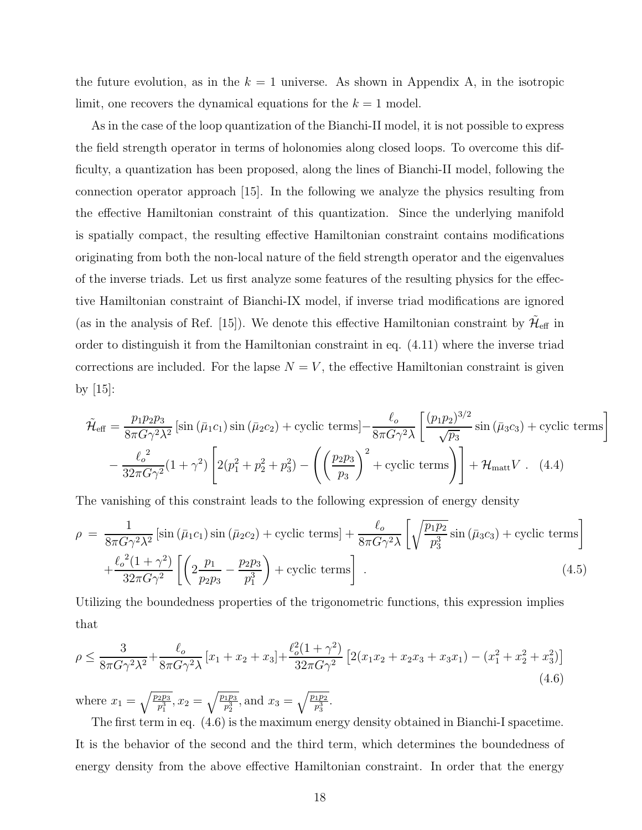the future evolution, as in the  $k = 1$  universe. As shown in Appendix A, in the isotropic limit, one recovers the dynamical equations for the  $k = 1$  model.

As in the case of the loop quantization of the Bianchi-II model, it is not possible to express the field strength operator in terms of holonomies along closed loops. To overcome this difficulty, a quantization has been proposed, along the lines of Bianchi-II model, following the connection operator approach [15]. In the following we analyze the physics resulting from the effective Hamiltonian constraint of this quantization. Since the underlying manifold is spatially compact, the resulting effective Hamiltonian constraint contains modifications originating from both the non-local nature of the field strength operator and the eigenvalues of the inverse triads. Let us first analyze some features of the resulting physics for the effective Hamiltonian constraint of Bianchi-IX model, if inverse triad modifications are ignored (as in the analysis of Ref. [15]). We denote this effective Hamiltonian constraint by  $\tilde{\mathcal{H}}_{\text{eff}}$  in order to distinguish it from the Hamiltonian constraint in eq. (4.11) where the inverse triad corrections are included. For the lapse  $N = V$ , the effective Hamiltonian constraint is given by  $|15|$ :

$$
\tilde{\mathcal{H}}_{\text{eff}} = \frac{p_1 p_2 p_3}{8\pi G \gamma^2 \lambda^2} \left[ \sin \left( \bar{\mu}_1 c_1 \right) \sin \left( \bar{\mu}_2 c_2 \right) + \text{cyclic terms} \right] - \frac{\ell_o}{8\pi G \gamma^2 \lambda} \left[ \frac{(p_1 p_2)^{3/2}}{\sqrt{p_3}} \sin \left( \bar{\mu}_3 c_3 \right) + \text{cyclic terms} \right] \n- \frac{\ell_o^2}{32\pi G \gamma^2} (1 + \gamma^2) \left[ 2(p_1^2 + p_2^2 + p_3^2) - \left( \left( \frac{p_2 p_3}{p_3} \right)^2 + \text{cyclic terms} \right) \right] + \mathcal{H}_{\text{matt}} V \ . \tag{4.4}
$$

The vanishing of this constraint leads to the following expression of energy density

$$
\rho = \frac{1}{8\pi G \gamma^2 \lambda^2} \left[ \sin\left(\bar{\mu}_1 c_1\right) \sin\left(\bar{\mu}_2 c_2\right) + \text{cyclic terms} \right] + \frac{\ell_o}{8\pi G \gamma^2 \lambda} \left[ \sqrt{\frac{p_1 p_2}{p_3^3}} \sin\left(\bar{\mu}_3 c_3\right) + \text{cyclic terms} \right] + \frac{\ell_o^2 (1 + \gamma^2)}{32\pi G \gamma^2} \left[ \left( 2 \frac{p_1}{p_2 p_3} - \frac{p_2 p_3}{p_1^3} \right) + \text{cyclic terms} \right]. \tag{4.5}
$$

Utilizing the boundedness properties of the trigonometric functions, this expression implies that

$$
\rho \le \frac{3}{8\pi G \gamma^2 \lambda^2} + \frac{\ell_o}{8\pi G \gamma^2 \lambda} \left[ x_1 + x_2 + x_3 \right] + \frac{\ell_o^2 (1 + \gamma^2)}{32\pi G \gamma^2} \left[ 2(x_1 x_2 + x_2 x_3 + x_3 x_1) - (x_1^2 + x_2^2 + x_3^2) \right]
$$
\n
$$
\tag{4.6}
$$

where  $x_1 = \sqrt{\frac{p_2 p_3}{p_1^3}}$ ,  $x_2 = \sqrt{\frac{p_1 p_3}{p_2^3}}$ , and  $x_3 = \sqrt{\frac{p_1 p_2}{p_3^3}}$ .

The first term in eq. (4.6) is the maximum energy density obtained in Bianchi-I spacetime. It is the behavior of the second and the third term, which determines the boundedness of energy density from the above effective Hamiltonian constraint. In order that the energy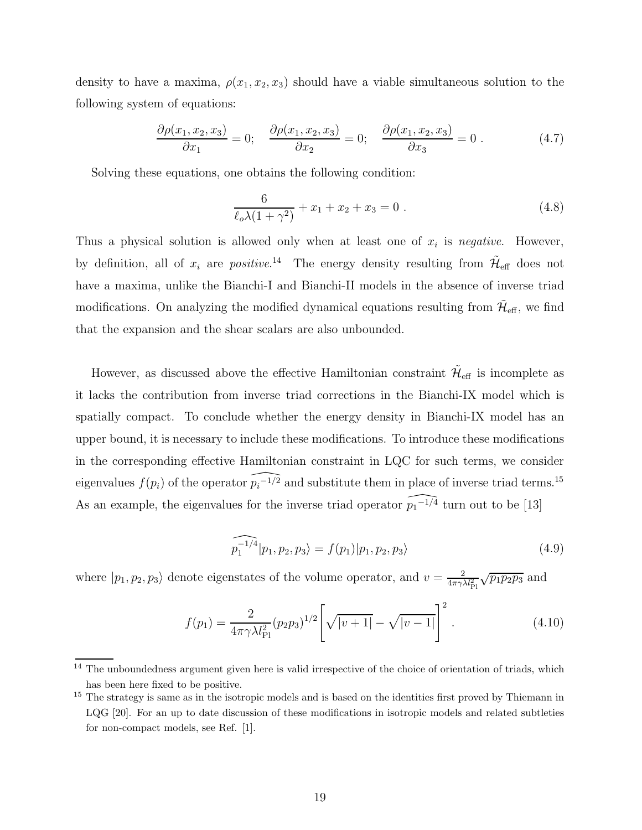density to have a maxima,  $\rho(x_1, x_2, x_3)$  should have a viable simultaneous solution to the following system of equations:

$$
\frac{\partial \rho(x_1, x_2, x_3)}{\partial x_1} = 0; \quad \frac{\partial \rho(x_1, x_2, x_3)}{\partial x_2} = 0; \quad \frac{\partial \rho(x_1, x_2, x_3)}{\partial x_3} = 0.
$$
 (4.7)

Solving these equations, one obtains the following condition:

$$
\frac{6}{\ell_o \lambda (1 + \gamma^2)} + x_1 + x_2 + x_3 = 0.
$$
 (4.8)

Thus a physical solution is allowed only when at least one of  $x_i$  is negative. However, by definition, all of  $x_i$  are *positive*.<sup>14</sup> The energy density resulting from  $\tilde{\mathcal{H}}_{\text{eff}}$  does not have a maxima, unlike the Bianchi-I and Bianchi-II models in the absence of inverse triad modifications. On analyzing the modified dynamical equations resulting from  $\tilde{\mathcal{H}}_{\text{eff}}$ , we find that the expansion and the shear scalars are also unbounded.

However, as discussed above the effective Hamiltonian constraint  $\tilde{\mathcal{H}}_{\text{eff}}$  is incomplete as it lacks the contribution from inverse triad corrections in the Bianchi-IX model which is spatially compact. To conclude whether the energy density in Bianchi-IX model has an upper bound, it is necessary to include these modifications. To introduce these modifications in the corresponding effective Hamiltonian constraint in LQC for such terms, we consider eigenvalues  $f(p_i)$  of the operator  $\widehat{p_i^{-1/2}}$  and substitute them in place of inverse triad terms.<sup>15</sup> As an example, the eigenvalues for the inverse triad operator  $\widehat{p_1-1/4}$  turn out to be [13]

$$
\widehat{p_1^{-1/4}}|p_1, p_2, p_3\rangle = f(p_1)|p_1, p_2, p_3\rangle \tag{4.9}
$$

where  $|p_1, p_2, p_3\rangle$  denote eigenstates of the volume operator, and  $v = \frac{2}{4\pi\gamma\lambda l_{\rm Pl}^2} \sqrt{p_1p_2p_3}$  and

$$
f(p_1) = \frac{2}{4\pi\gamma\lambda l_{\rm Pl}^2} (p_2 p_3)^{1/2} \left[ \sqrt{|v+1|} - \sqrt{|v-1|} \right]^2.
$$
 (4.10)

<sup>&</sup>lt;sup>14</sup> The unboundedness argument given here is valid irrespective of the choice of orientation of triads, which has been here fixed to be positive.

<sup>&</sup>lt;sup>15</sup> The strategy is same as in the isotropic models and is based on the identities first proved by Thiemann in LQG [20]. For an up to date discussion of these modifications in isotropic models and related subtleties for non-compact models, see Ref. [1].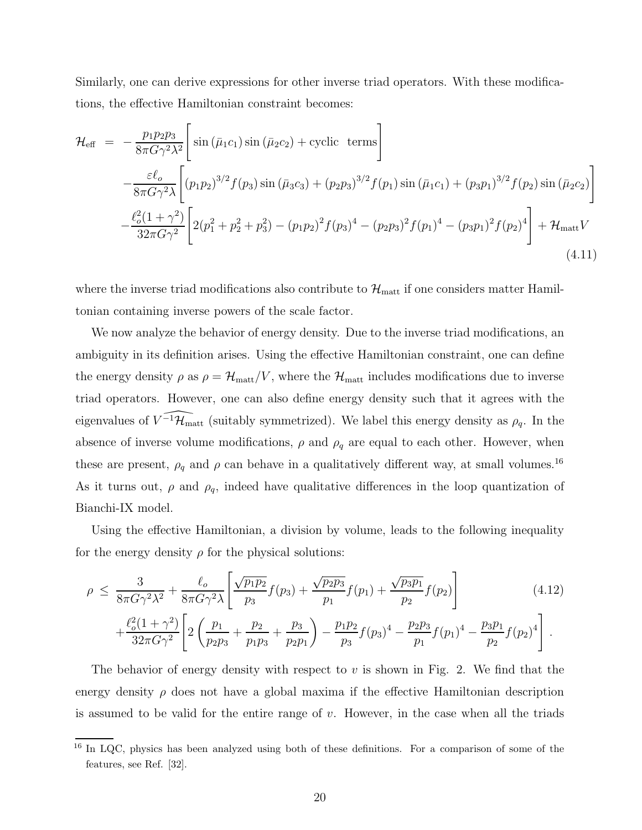Similarly, one can derive expressions for other inverse triad operators. With these modifications, the effective Hamiltonian constraint becomes:

$$
\mathcal{H}_{\text{eff}} = -\frac{p_1 p_2 p_3}{8\pi G \gamma^2 \lambda^2} \Bigg[ \sin \left( \bar{\mu}_1 c_1 \right) \sin \left( \bar{\mu}_2 c_2 \right) + \text{cyclic terms} \Bigg] \n- \frac{\varepsilon \ell_o}{8\pi G \gamma^2 \lambda} \Bigg[ (p_1 p_2)^{3/2} f(p_3) \sin \left( \bar{\mu}_3 c_3 \right) + (p_2 p_3)^{3/2} f(p_1) \sin \left( \bar{\mu}_1 c_1 \right) + (p_3 p_1)^{3/2} f(p_2) \sin \left( \bar{\mu}_2 c_2 \right) \Bigg] \n- \frac{\ell_o^2 (1 + \gamma^2)}{32\pi G \gamma^2} \Bigg[ 2(p_1^2 + p_2^2 + p_3^2) - (p_1 p_2)^2 f(p_3)^4 - (p_2 p_3)^2 f(p_1)^4 - (p_3 p_1)^2 f(p_2)^4 \Bigg] + \mathcal{H}_{\text{matt}} V
$$
\n(4.11)

where the inverse triad modifications also contribute to  $\mathcal{H}_{\text{matt}}$  if one considers matter Hamiltonian containing inverse powers of the scale factor.

We now analyze the behavior of energy density. Due to the inverse triad modifications, an ambiguity in its definition arises. Using the effective Hamiltonian constraint, one can define the energy density  $\rho$  as  $\rho = \mathcal{H}_{\text{matt}}/V$ , where the  $\mathcal{H}_{\text{matt}}$  includes modifications due to inverse triad operators. However, one can also define energy density such that it agrees with the eigenvalues of  $\widehat{V^{-1}\mathcal{H}_{\text{matt}}}$  (suitably symmetrized). We label this energy density as  $\rho_q$ . In the absence of inverse volume modifications,  $\rho$  and  $\rho_q$  are equal to each other. However, when these are present,  $\rho_q$  and  $\rho$  can behave in a qualitatively different way, at small volumes.<sup>16</sup> As it turns out,  $\rho$  and  $\rho_q$ , indeed have qualitative differences in the loop quantization of Bianchi-IX model.

Using the effective Hamiltonian, a division by volume, leads to the following inequality for the energy density  $\rho$  for the physical solutions:

$$
\rho \leq \frac{3}{8\pi G \gamma^2 \lambda^2} + \frac{\ell_o}{8\pi G \gamma^2 \lambda} \left[ \frac{\sqrt{p_1 p_2}}{p_3} f(p_3) + \frac{\sqrt{p_2 p_3}}{p_1} f(p_1) + \frac{\sqrt{p_3 p_1}}{p_2} f(p_2) \right]
$$
(4.12)

$$
+\frac{\ell_o^2(1+\gamma^2)}{32\pi G\gamma^2}\left[2\left(\frac{p_1}{p_2p_3}+\frac{p_2}{p_1p_3}+\frac{p_3}{p_2p_1}\right)-\frac{p_1p_2}{p_3}f(p_3)^4-\frac{p_2p_3}{p_1}f(p_1)^4-\frac{p_3p_1}{p_2}f(p_2)^4\right].
$$

The behavior of energy density with respect to  $v$  is shown in Fig. 2. We find that the energy density  $\rho$  does not have a global maxima if the effective Hamiltonian description is assumed to be valid for the entire range of  $v$ . However, in the case when all the triads

<sup>&</sup>lt;sup>16</sup> In LQC, physics has been analyzed using both of these definitions. For a comparison of some of the features, see Ref. [32].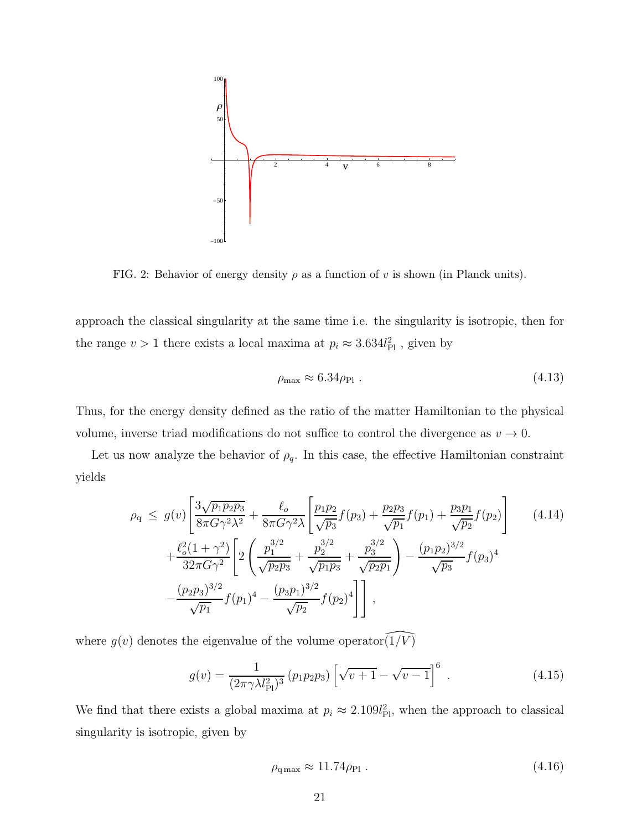

FIG. 2: Behavior of energy density  $\rho$  as a function of v is shown (in Planck units).

approach the classical singularity at the same time i.e. the singularity is isotropic, then for the range  $v > 1$  there exists a local maxima at  $p_i \approx 3.634 l_{\rm Pl}^2$ , given by

$$
\rho_{\text{max}} \approx 6.34 \rho_{\text{Pl}} \tag{4.13}
$$

Thus, for the energy density defined as the ratio of the matter Hamiltonian to the physical volume, inverse triad modifications do not suffice to control the divergence as  $v \to 0$ .

Let us now analyze the behavior of  $\rho_q$ . In this case, the effective Hamiltonian constraint yields

$$
\rho_{q} \leq g(v) \left[ \frac{3\sqrt{p_{1}p_{2}p_{3}}}{8\pi G\gamma^{2}\lambda^{2}} + \frac{\ell_{o}}{8\pi G\gamma^{2}\lambda} \left[ \frac{p_{1}p_{2}}{\sqrt{p_{3}}} f(p_{3}) + \frac{p_{2}p_{3}}{\sqrt{p_{1}}} f(p_{1}) + \frac{p_{3}p_{1}}{\sqrt{p_{2}}} f(p_{2}) \right] \right]
$$
\n
$$
+ \frac{\ell_{o}^{2}(1+\gamma^{2})}{32\pi G\gamma^{2}} \left[ 2\left( \frac{p_{1}^{3/2}}{\sqrt{p_{2}p_{3}}} + \frac{p_{2}^{3/2}}{\sqrt{p_{1}p_{3}}} + \frac{p_{3}^{3/2}}{\sqrt{p_{2}p_{1}}} \right) - \frac{(p_{1}p_{2})^{3/2}}{\sqrt{p_{3}}} f(p_{3})^{4} \right]
$$
\n
$$
- \frac{(p_{2}p_{3})^{3/2}}{\sqrt{p_{1}}} f(p_{1})^{4} - \frac{(p_{3}p_{1})^{3/2}}{\sqrt{p_{2}}} f(p_{2})^{4} \right],
$$
\n(4.14)

where  $g(v)$  denotes the eigenvalue of the volume operator  $(1/\sqrt{V})$ 

$$
g(v) = \frac{1}{(2\pi\gamma\lambda l_{\rm Pl}^2)^3} (p_1 p_2 p_3) \left[ \sqrt{v+1} - \sqrt{v-1} \right]^6 \tag{4.15}
$$

We find that there exists a global maxima at  $p_i \approx 2.109 l_{\text{Pl}}^2$ , when the approach to classical singularity is isotropic, given by

$$
\rho_{\rm q\,max} \approx 11.74 \rho_{\rm Pl} \ . \tag{4.16}
$$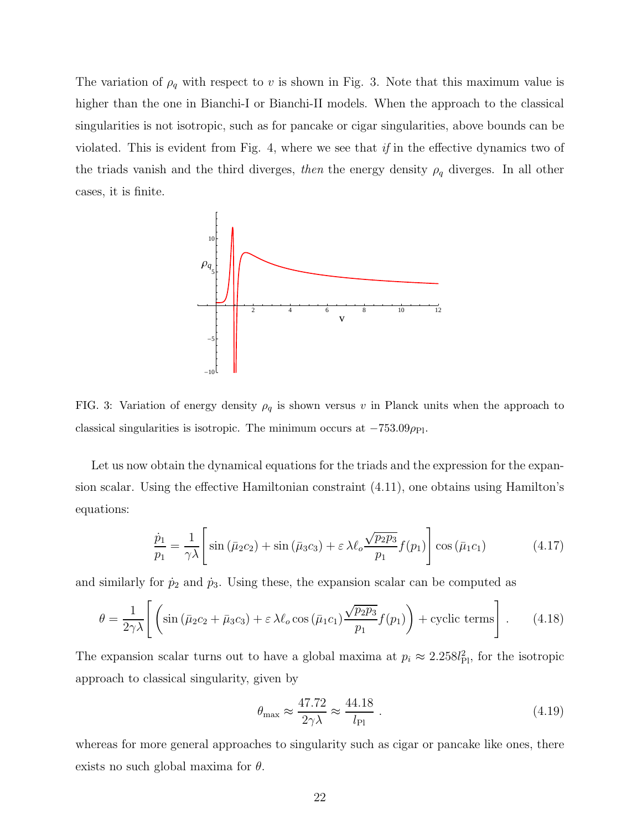The variation of  $\rho_q$  with respect to v is shown in Fig. 3. Note that this maximum value is higher than the one in Bianchi-I or Bianchi-II models. When the approach to the classical singularities is not isotropic, such as for pancake or cigar singularities, above bounds can be violated. This is evident from Fig. 4, where we see that if in the effective dynamics two of the triads vanish and the third diverges, then the energy density  $\rho_q$  diverges. In all other cases, it is finite.



FIG. 3: Variation of energy density  $\rho_q$  is shown versus v in Planck units when the approach to classical singularities is isotropic. The minimum occurs at  $-753.09\rho_{\rm Pl}$ .

Let us now obtain the dynamical equations for the triads and the expression for the expansion scalar. Using the effective Hamiltonian constraint (4.11), one obtains using Hamilton's equations:

$$
\frac{\dot{p}_1}{p_1} = \frac{1}{\gamma \lambda} \left[ \sin \left( \bar{\mu}_2 c_2 \right) + \sin \left( \bar{\mu}_3 c_3 \right) + \varepsilon \lambda \ell_o \frac{\sqrt{p_2 p_3}}{p_1} f(p_1) \right] \cos \left( \bar{\mu}_1 c_1 \right) \tag{4.17}
$$

and similarly for  $\dot{p}_2$  and  $\dot{p}_3$ . Using these, the expansion scalar can be computed as

$$
\theta = \frac{1}{2\gamma\lambda} \left[ \left( \sin\left(\bar{\mu}_2 c_2 + \bar{\mu}_3 c_3\right) + \varepsilon \lambda \ell_o \cos\left(\bar{\mu}_1 c_1\right) \frac{\sqrt{p_2 p_3}}{p_1} f(p_1) \right) + \text{cyclic terms} \right]. \tag{4.18}
$$

The expansion scalar turns out to have a global maxima at  $p_i \approx 2.258 l_{\rm Pl}^2$ , for the isotropic approach to classical singularity, given by

$$
\theta_{\text{max}} \approx \frac{47.72}{2\gamma\lambda} \approx \frac{44.18}{l_{\text{Pl}}} \tag{4.19}
$$

whereas for more general approaches to singularity such as cigar or pancake like ones, there exists no such global maxima for  $\theta$ .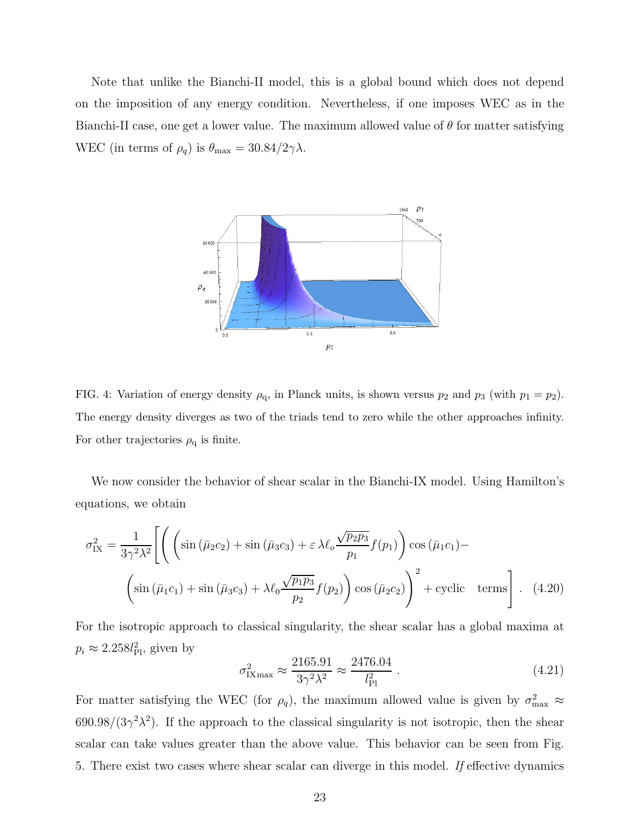Note that unlike the Bianchi-II model, this is a global bound which does not depend on the imposition of any energy condition. Nevertheless, if one imposes WEC as in the Bianchi-II case, one get a lower value. The maximum allowed value of  $\theta$  for matter satisfying WEC (in terms of  $\rho_q$ ) is  $\theta_{\text{max}} = 30.84/2\gamma\lambda$ .



FIG. 4: Variation of energy density  $\rho_q$ , in Planck units, is shown versus  $p_2$  and  $p_3$  (with  $p_1 = p_2$ ). The energy density diverges as two of the triads tend to zero while the other approaches infinity. For other trajectories  $\rho_q$  is finite.

We now consider the behavior of shear scalar in the Bianchi-IX model. Using Hamilton's equations, we obtain

$$
\sigma_{IX}^{2} = \frac{1}{3\gamma^{2}\lambda^{2}} \left[ \left( \left( \sin\left(\bar{\mu}_{2}c_{2}\right) + \sin\left(\bar{\mu}_{3}c_{3}\right) + \varepsilon \lambda \ell_{o} \frac{\sqrt{p_{2}p_{3}}}{p_{1}} f(p_{1}) \right) \cos\left(\bar{\mu}_{1}c_{1}\right) - \left( \sin\left(\bar{\mu}_{1}c_{1}\right) + \sin\left(\bar{\mu}_{3}c_{3}\right) + \lambda \ell_{0} \frac{\sqrt{p_{1}p_{3}}}{p_{2}} f(p_{2}) \right) \cos\left(\bar{\mu}_{2}c_{2}\right) \right)^{2} + \text{cyclic terms} \right]. \quad (4.20)
$$

For the isotropic approach to classical singularity, the shear scalar has a global maxima at  $p_i \approx 2.258 l_{\rm Pl}^2$ , given by

$$
\sigma_{\text{IX}_{\text{max}}}^2 \approx \frac{2165.91}{3\gamma^2 \lambda^2} \approx \frac{2476.04}{l_{\text{Pl}}^2} \,. \tag{4.21}
$$

For matter satisfying the WEC (for  $\rho_q$ ), the maximum allowed value is given by  $\sigma_{\text{max}}^2 \approx$  $690.98/(3\gamma^2\lambda^2)$ . If the approach to the classical singularity is not isotropic, then the shear scalar can take values greater than the above value. This behavior can be seen from Fig. 5. There exist two cases where shear scalar can diverge in this model. If effective dynamics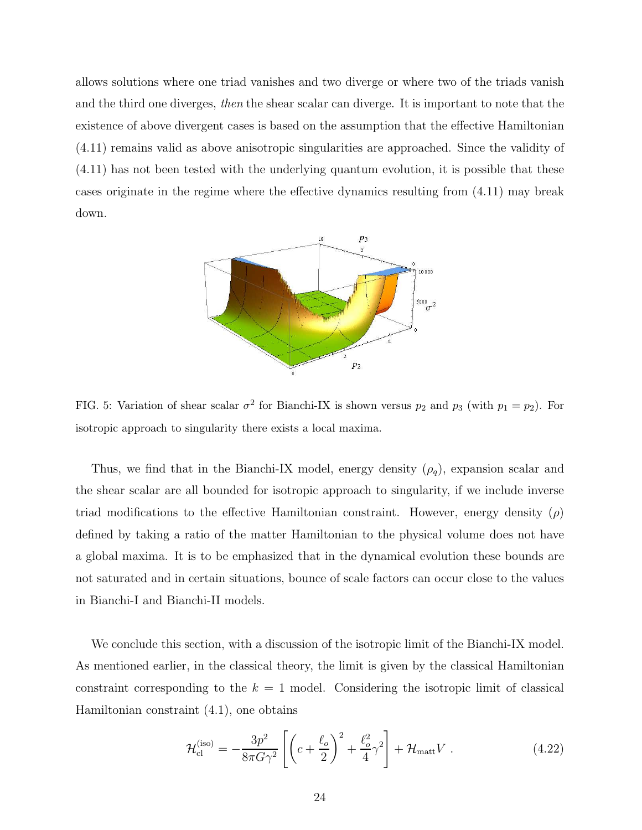allows solutions where one triad vanishes and two diverge or where two of the triads vanish and the third one diverges, then the shear scalar can diverge. It is important to note that the existence of above divergent cases is based on the assumption that the effective Hamiltonian (4.11) remains valid as above anisotropic singularities are approached. Since the validity of (4.11) has not been tested with the underlying quantum evolution, it is possible that these cases originate in the regime where the effective dynamics resulting from (4.11) may break down.



FIG. 5: Variation of shear scalar  $\sigma^2$  for Bianchi-IX is shown versus  $p_2$  and  $p_3$  (with  $p_1 = p_2$ ). For isotropic approach to singularity there exists a local maxima.

Thus, we find that in the Bianchi-IX model, energy density  $(\rho_q)$ , expansion scalar and the shear scalar are all bounded for isotropic approach to singularity, if we include inverse triad modifications to the effective Hamiltonian constraint. However, energy density  $(\rho)$ defined by taking a ratio of the matter Hamiltonian to the physical volume does not have a global maxima. It is to be emphasized that in the dynamical evolution these bounds are not saturated and in certain situations, bounce of scale factors can occur close to the values in Bianchi-I and Bianchi-II models.

We conclude this section, with a discussion of the isotropic limit of the Bianchi-IX model. As mentioned earlier, in the classical theory, the limit is given by the classical Hamiltonian constraint corresponding to the  $k = 1$  model. Considering the isotropic limit of classical Hamiltonian constraint (4.1), one obtains

$$
\mathcal{H}_{\text{cl}}^{(\text{iso})} = -\frac{3p^2}{8\pi G\gamma^2} \left[ \left( c + \frac{\ell_o}{2} \right)^2 + \frac{\ell_o^2}{4} \gamma^2 \right] + \mathcal{H}_{\text{matt}} V \ . \tag{4.22}
$$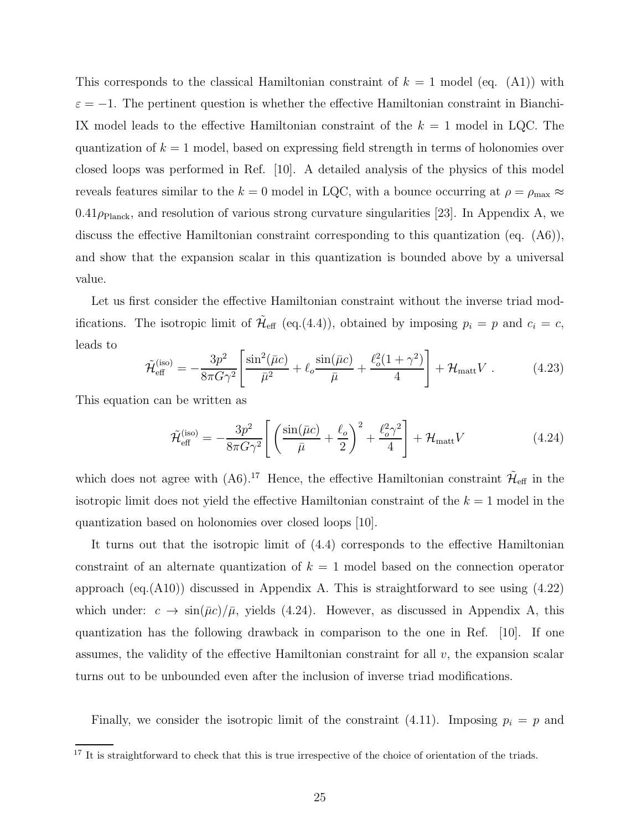This corresponds to the classical Hamiltonian constraint of  $k = 1$  model (eq. (A1)) with  $\varepsilon = -1$ . The pertinent question is whether the effective Hamiltonian constraint in Bianchi-IX model leads to the effective Hamiltonian constraint of the  $k = 1$  model in LQC. The quantization of  $k = 1$  model, based on expressing field strength in terms of holonomies over closed loops was performed in Ref. [10]. A detailed analysis of the physics of this model reveals features similar to the  $k = 0$  model in LQC, with a bounce occurring at  $\rho = \rho_{\text{max}} \approx$  $0.41\rho_{\text{Planck}}$ , and resolution of various strong curvature singularities [23]. In Appendix A, we discuss the effective Hamiltonian constraint corresponding to this quantization (eq. (A6)), and show that the expansion scalar in this quantization is bounded above by a universal value.

Let us first consider the effective Hamiltonian constraint without the inverse triad modifications. The isotropic limit of  $\tilde{\mathcal{H}}_{\text{eff}}$  (eq.(4.4)), obtained by imposing  $p_i = p$  and  $c_i = c$ , leads to

$$
\tilde{\mathcal{H}}_{\text{eff}}^{(\text{iso})} = -\frac{3p^2}{8\pi G\gamma^2} \left[ \frac{\sin^2(\bar{\mu}c)}{\bar{\mu}^2} + \ell_o \frac{\sin(\bar{\mu}c)}{\bar{\mu}} + \frac{\ell_o^2(1+\gamma^2)}{4} \right] + \mathcal{H}_{\text{matt}} V \ . \tag{4.23}
$$

This equation can be written as

$$
\tilde{\mathcal{H}}_{\text{eff}}^{(\text{iso})} = -\frac{3p^2}{8\pi G\gamma^2} \left[ \left( \frac{\sin(\bar{\mu}c)}{\bar{\mu}} + \frac{\ell_o}{2} \right)^2 + \frac{\ell_o^2 \gamma^2}{4} \right] + \mathcal{H}_{\text{matt}} V \tag{4.24}
$$

which does not agree with  $(A6)^{17}$  Hence, the effective Hamiltonian constraint  $\tilde{\mathcal{H}}_{\text{eff}}$  in the isotropic limit does not yield the effective Hamiltonian constraint of the  $k = 1$  model in the quantization based on holonomies over closed loops [10].

It turns out that the isotropic limit of (4.4) corresponds to the effective Hamiltonian constraint of an alternate quantization of  $k = 1$  model based on the connection operator approach (eq.(A10)) discussed in Appendix A. This is straightforward to see using (4.22) which under:  $c \to \sin(\bar{\mu}c)/\bar{\mu}$ , yields (4.24). However, as discussed in Appendix A, this quantization has the following drawback in comparison to the one in Ref. [10]. If one assumes, the validity of the effective Hamiltonian constraint for all v, the expansion scalar turns out to be unbounded even after the inclusion of inverse triad modifications.

Finally, we consider the isotropic limit of the constraint (4.11). Imposing  $p_i = p$  and

<sup>&</sup>lt;sup>17</sup> It is straightforward to check that this is true irrespective of the choice of orientation of the triads.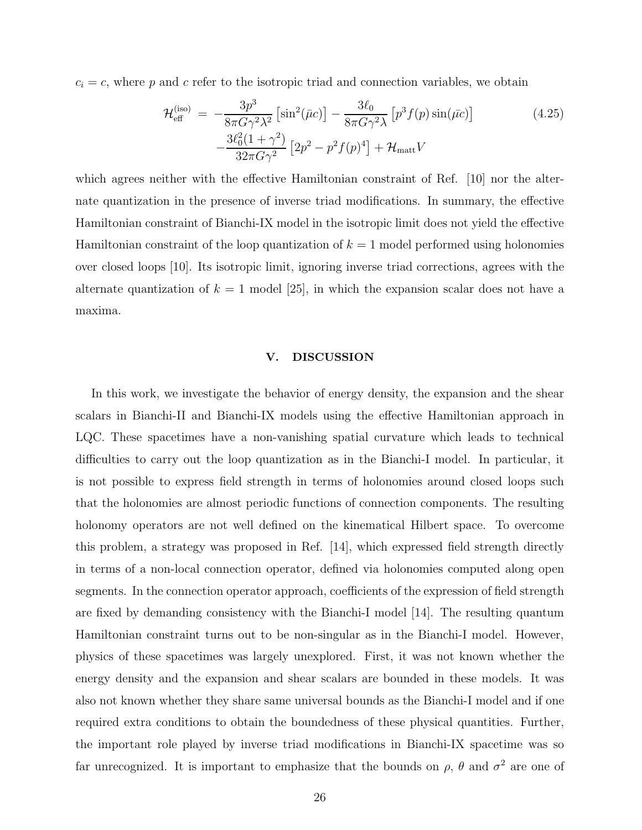$c_i = c$ , where p and c refer to the isotropic triad and connection variables, we obtain

$$
\mathcal{H}_{\text{eff}}^{(\text{iso})} = -\frac{3p^3}{8\pi G \gamma^2 \lambda^2} \left[ \sin^2(\bar{\mu}c) \right] - \frac{3\ell_0}{8\pi G \gamma^2 \lambda} \left[ p^3 f(p) \sin(\bar{\mu}c) \right] \n- \frac{3\ell_0^2 (1 + \gamma^2)}{32\pi G \gamma^2} \left[ 2p^2 - p^2 f(p)^4 \right] + \mathcal{H}_{\text{matt}} V
$$
\n(4.25)

which agrees neither with the effective Hamiltonian constraint of Ref. [10] nor the alternate quantization in the presence of inverse triad modifications. In summary, the effective Hamiltonian constraint of Bianchi-IX model in the isotropic limit does not yield the effective Hamiltonian constraint of the loop quantization of  $k = 1$  model performed using holonomies over closed loops [10]. Its isotropic limit, ignoring inverse triad corrections, agrees with the alternate quantization of  $k = 1$  model [25], in which the expansion scalar does not have a maxima.

#### V. DISCUSSION

In this work, we investigate the behavior of energy density, the expansion and the shear scalars in Bianchi-II and Bianchi-IX models using the effective Hamiltonian approach in LQC. These spacetimes have a non-vanishing spatial curvature which leads to technical difficulties to carry out the loop quantization as in the Bianchi-I model. In particular, it is not possible to express field strength in terms of holonomies around closed loops such that the holonomies are almost periodic functions of connection components. The resulting holonomy operators are not well defined on the kinematical Hilbert space. To overcome this problem, a strategy was proposed in Ref. [14], which expressed field strength directly in terms of a non-local connection operator, defined via holonomies computed along open segments. In the connection operator approach, coefficients of the expression of field strength are fixed by demanding consistency with the Bianchi-I model [14]. The resulting quantum Hamiltonian constraint turns out to be non-singular as in the Bianchi-I model. However, physics of these spacetimes was largely unexplored. First, it was not known whether the energy density and the expansion and shear scalars are bounded in these models. It was also not known whether they share same universal bounds as the Bianchi-I model and if one required extra conditions to obtain the boundedness of these physical quantities. Further, the important role played by inverse triad modifications in Bianchi-IX spacetime was so far unrecognized. It is important to emphasize that the bounds on  $\rho$ ,  $\theta$  and  $\sigma^2$  are one of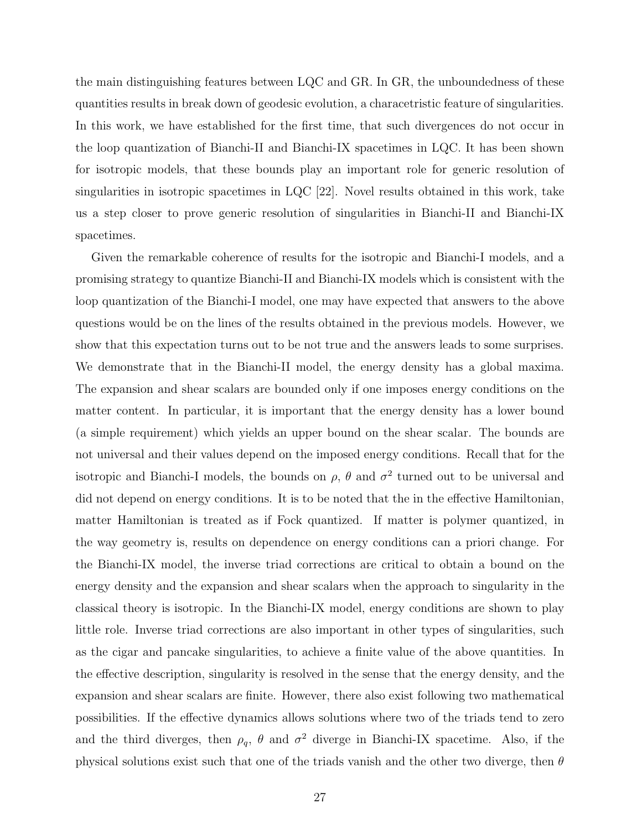the main distinguishing features between LQC and GR. In GR, the unboundedness of these quantities results in break down of geodesic evolution, a characetristic feature of singularities. In this work, we have established for the first time, that such divergences do not occur in the loop quantization of Bianchi-II and Bianchi-IX spacetimes in LQC. It has been shown for isotropic models, that these bounds play an important role for generic resolution of singularities in isotropic spacetimes in LQC [22]. Novel results obtained in this work, take us a step closer to prove generic resolution of singularities in Bianchi-II and Bianchi-IX spacetimes.

Given the remarkable coherence of results for the isotropic and Bianchi-I models, and a promising strategy to quantize Bianchi-II and Bianchi-IX models which is consistent with the loop quantization of the Bianchi-I model, one may have expected that answers to the above questions would be on the lines of the results obtained in the previous models. However, we show that this expectation turns out to be not true and the answers leads to some surprises. We demonstrate that in the Bianchi-II model, the energy density has a global maxima. The expansion and shear scalars are bounded only if one imposes energy conditions on the matter content. In particular, it is important that the energy density has a lower bound (a simple requirement) which yields an upper bound on the shear scalar. The bounds are not universal and their values depend on the imposed energy conditions. Recall that for the isotropic and Bianchi-I models, the bounds on  $\rho$ ,  $\theta$  and  $\sigma^2$  turned out to be universal and did not depend on energy conditions. It is to be noted that the in the effective Hamiltonian, matter Hamiltonian is treated as if Fock quantized. If matter is polymer quantized, in the way geometry is, results on dependence on energy conditions can a priori change. For the Bianchi-IX model, the inverse triad corrections are critical to obtain a bound on the energy density and the expansion and shear scalars when the approach to singularity in the classical theory is isotropic. In the Bianchi-IX model, energy conditions are shown to play little role. Inverse triad corrections are also important in other types of singularities, such as the cigar and pancake singularities, to achieve a finite value of the above quantities. In the effective description, singularity is resolved in the sense that the energy density, and the expansion and shear scalars are finite. However, there also exist following two mathematical possibilities. If the effective dynamics allows solutions where two of the triads tend to zero and the third diverges, then  $\rho_q$ ,  $\theta$  and  $\sigma^2$  diverge in Bianchi-IX spacetime. Also, if the physical solutions exist such that one of the triads vanish and the other two diverge, then  $\theta$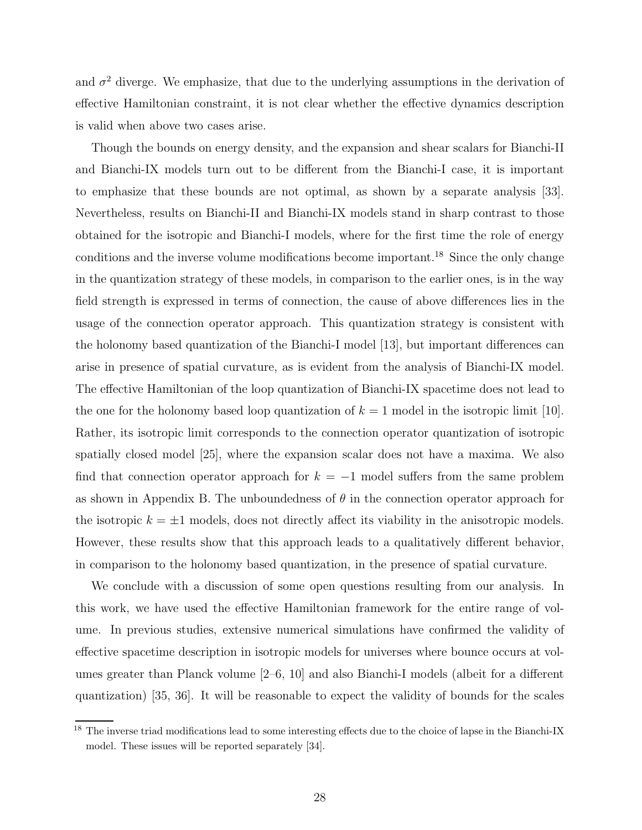and  $\sigma^2$  diverge. We emphasize, that due to the underlying assumptions in the derivation of effective Hamiltonian constraint, it is not clear whether the effective dynamics description is valid when above two cases arise.

Though the bounds on energy density, and the expansion and shear scalars for Bianchi-II and Bianchi-IX models turn out to be different from the Bianchi-I case, it is important to emphasize that these bounds are not optimal, as shown by a separate analysis [33]. Nevertheless, results on Bianchi-II and Bianchi-IX models stand in sharp contrast to those obtained for the isotropic and Bianchi-I models, where for the first time the role of energy conditions and the inverse volume modifications become important.<sup>18</sup> Since the only change in the quantization strategy of these models, in comparison to the earlier ones, is in the way field strength is expressed in terms of connection, the cause of above differences lies in the usage of the connection operator approach. This quantization strategy is consistent with the holonomy based quantization of the Bianchi-I model [13], but important differences can arise in presence of spatial curvature, as is evident from the analysis of Bianchi-IX model. The effective Hamiltonian of the loop quantization of Bianchi-IX spacetime does not lead to the one for the holonomy based loop quantization of  $k = 1$  model in the isotropic limit [10]. Rather, its isotropic limit corresponds to the connection operator quantization of isotropic spatially closed model [25], where the expansion scalar does not have a maxima. We also find that connection operator approach for  $k = -1$  model suffers from the same problem as shown in Appendix B. The unboundedness of  $\theta$  in the connection operator approach for the isotropic  $k = \pm 1$  models, does not directly affect its viability in the anisotropic models. However, these results show that this approach leads to a qualitatively different behavior, in comparison to the holonomy based quantization, in the presence of spatial curvature.

We conclude with a discussion of some open questions resulting from our analysis. In this work, we have used the effective Hamiltonian framework for the entire range of volume. In previous studies, extensive numerical simulations have confirmed the validity of effective spacetime description in isotropic models for universes where bounce occurs at volumes greater than Planck volume [2–6, 10] and also Bianchi-I models (albeit for a different quantization) [35, 36]. It will be reasonable to expect the validity of bounds for the scales

<sup>&</sup>lt;sup>18</sup> The inverse triad modifications lead to some interesting effects due to the choice of lapse in the Bianchi-IX model. These issues will be reported separately [34].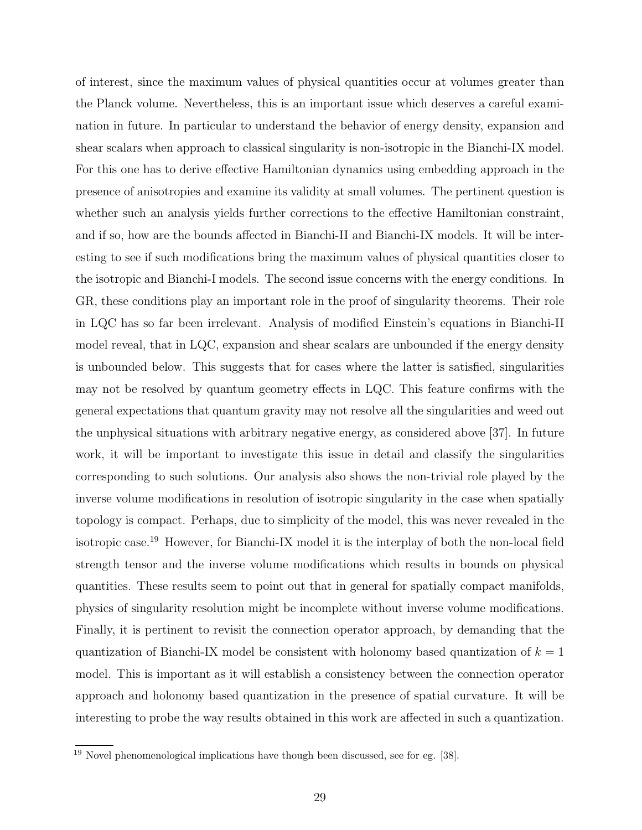of interest, since the maximum values of physical quantities occur at volumes greater than the Planck volume. Nevertheless, this is an important issue which deserves a careful examination in future. In particular to understand the behavior of energy density, expansion and shear scalars when approach to classical singularity is non-isotropic in the Bianchi-IX model. For this one has to derive effective Hamiltonian dynamics using embedding approach in the presence of anisotropies and examine its validity at small volumes. The pertinent question is whether such an analysis yields further corrections to the effective Hamiltonian constraint, and if so, how are the bounds affected in Bianchi-II and Bianchi-IX models. It will be interesting to see if such modifications bring the maximum values of physical quantities closer to the isotropic and Bianchi-I models. The second issue concerns with the energy conditions. In GR, these conditions play an important role in the proof of singularity theorems. Their role in LQC has so far been irrelevant. Analysis of modified Einstein's equations in Bianchi-II model reveal, that in LQC, expansion and shear scalars are unbounded if the energy density is unbounded below. This suggests that for cases where the latter is satisfied, singularities may not be resolved by quantum geometry effects in LQC. This feature confirms with the general expectations that quantum gravity may not resolve all the singularities and weed out the unphysical situations with arbitrary negative energy, as considered above [37]. In future work, it will be important to investigate this issue in detail and classify the singularities corresponding to such solutions. Our analysis also shows the non-trivial role played by the inverse volume modifications in resolution of isotropic singularity in the case when spatially topology is compact. Perhaps, due to simplicity of the model, this was never revealed in the isotropic case.<sup>19</sup> However, for Bianchi-IX model it is the interplay of both the non-local field strength tensor and the inverse volume modifications which results in bounds on physical quantities. These results seem to point out that in general for spatially compact manifolds, physics of singularity resolution might be incomplete without inverse volume modifications. Finally, it is pertinent to revisit the connection operator approach, by demanding that the quantization of Bianchi-IX model be consistent with holonomy based quantization of  $k = 1$ model. This is important as it will establish a consistency between the connection operator approach and holonomy based quantization in the presence of spatial curvature. It will be interesting to probe the way results obtained in this work are affected in such a quantization.

<sup>19</sup> Novel phenomenological implications have though been discussed, see for eg. [38].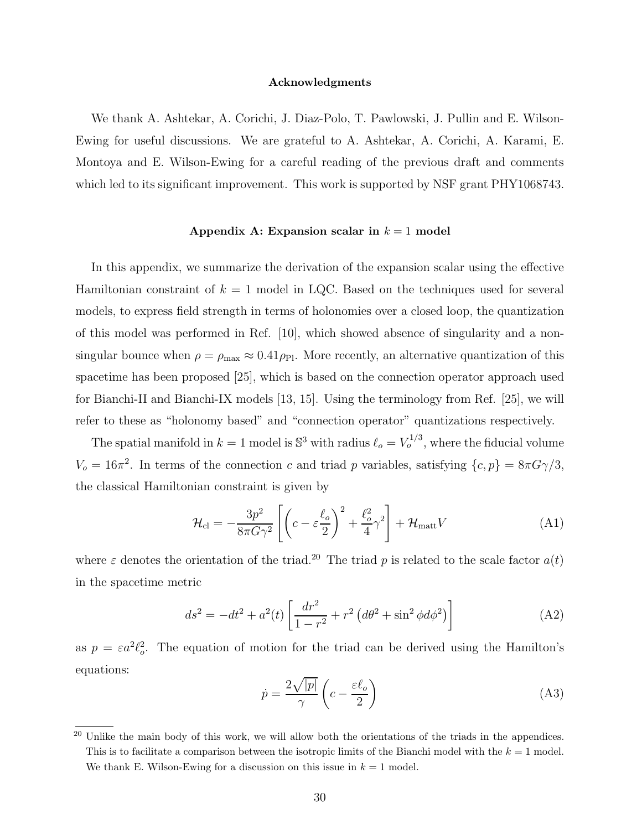#### Acknowledgments

We thank A. Ashtekar, A. Corichi, J. Diaz-Polo, T. Pawlowski, J. Pullin and E. Wilson-Ewing for useful discussions. We are grateful to A. Ashtekar, A. Corichi, A. Karami, E. Montoya and E. Wilson-Ewing for a careful reading of the previous draft and comments which led to its significant improvement. This work is supported by NSF grant PHY1068743.

#### Appendix A: Expansion scalar in  $k = 1$  model

In this appendix, we summarize the derivation of the expansion scalar using the effective Hamiltonian constraint of  $k = 1$  model in LQC. Based on the techniques used for several models, to express field strength in terms of holonomies over a closed loop, the quantization of this model was performed in Ref. [10], which showed absence of singularity and a nonsingular bounce when  $\rho = \rho_{\text{max}} \approx 0.41 \rho_{\text{Pl}}$ . More recently, an alternative quantization of this spacetime has been proposed [25], which is based on the connection operator approach used for Bianchi-II and Bianchi-IX models [13, 15]. Using the terminology from Ref. [25], we will refer to these as "holonomy based" and "connection operator" quantizations respectively.

The spatial manifold in  $k = 1$  model is  $\mathbb{S}^3$  with radius  $\ell_o = V_o^{1/3}$ , where the fiducial volume  $V_o = 16\pi^2$ . In terms of the connection c and triad p variables, satisfying  $\{c, p\} = 8\pi G\gamma/3$ , the classical Hamiltonian constraint is given by

$$
\mathcal{H}_{\rm cl} = -\frac{3p^2}{8\pi G\gamma^2} \left[ \left( c - \varepsilon \frac{\ell_o}{2} \right)^2 + \frac{\ell_o^2}{4} \gamma^2 \right] + \mathcal{H}_{\rm matt} V \tag{A1}
$$

where  $\varepsilon$  denotes the orientation of the triad.<sup>20</sup> The triad p is related to the scale factor  $a(t)$ in the spacetime metric

$$
ds^{2} = -dt^{2} + a^{2}(t) \left[ \frac{dr^{2}}{1 - r^{2}} + r^{2} \left( d\theta^{2} + \sin^{2} \phi d\phi^{2} \right) \right]
$$
 (A2)

as  $p = \varepsilon a^2 \ell_o^2$ . The equation of motion for the triad can be derived using the Hamilton's equations:

$$
\dot{p} = \frac{2\sqrt{|p|}}{\gamma} \left( c - \frac{\varepsilon \ell_o}{2} \right) \tag{A3}
$$

<sup>&</sup>lt;sup>20</sup> Unlike the main body of this work, we will allow both the orientations of the triads in the appendices. This is to facilitate a comparison between the isotropic limits of the Bianchi model with the  $k = 1$  model. We thank E. Wilson-Ewing for a discussion on this issue in  $k = 1$  model.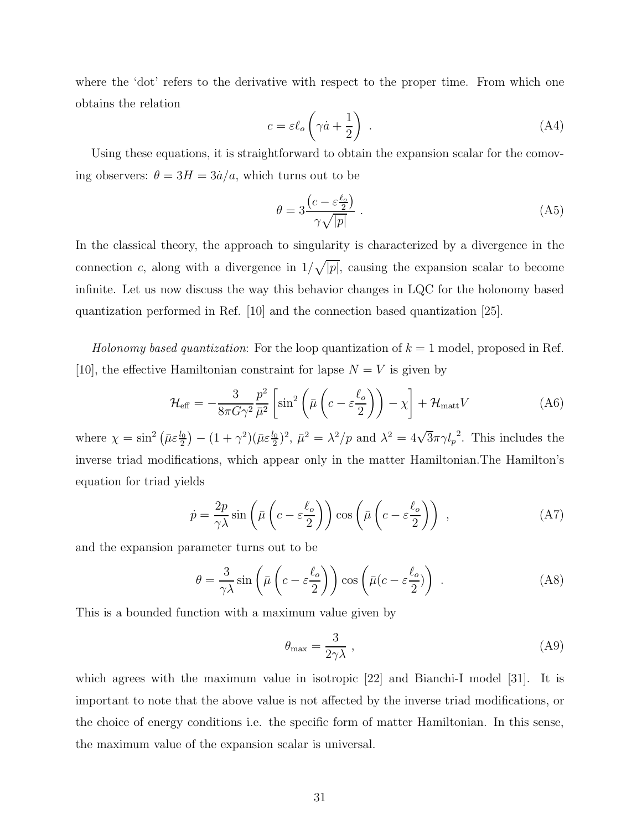where the 'dot' refers to the derivative with respect to the proper time. From which one obtains the relation

$$
c = \varepsilon \ell_o \left( \gamma \dot{a} + \frac{1}{2} \right) \tag{A4}
$$

Using these equations, it is straightforward to obtain the expansion scalar for the comoving observers:  $\theta = 3H = 3\dot{a}/a$ , which turns out to be

$$
\theta = 3 \frac{\left(c - \varepsilon \frac{\ell_0}{2}\right)}{\gamma \sqrt{|p|}}\,. \tag{A5}
$$

In the classical theory, the approach to singularity is characterized by a divergence in the connection c, along with a divergence in  $1/\sqrt{|p|}$ , causing the expansion scalar to become infinite. Let us now discuss the way this behavior changes in LQC for the holonomy based quantization performed in Ref. [10] and the connection based quantization [25].

Holonomy based quantization: For the loop quantization of  $k = 1$  model, proposed in Ref. [10], the effective Hamiltonian constraint for lapse  $N = V$  is given by

$$
\mathcal{H}_{\text{eff}} = -\frac{3}{8\pi G\gamma^2} \frac{p^2}{\bar{\mu}^2} \left[ \sin^2 \left( \bar{\mu} \left( c - \varepsilon \frac{\ell_o}{2} \right) \right) - \chi \right] + \mathcal{H}_{\text{matt}} V \tag{A6}
$$

where  $\chi = \sin^2\left(\bar{\mu}\varepsilon \frac{l_0}{2}\right)$  $(\frac{a_0}{2}) - (1 + \gamma^2)(\bar{\mu}\varepsilon \frac{l_0}{2})^2$ ,  $\bar{\mu}^2 = \lambda^2/p$  and  $\lambda^2 = 4\sqrt{3}\pi\gamma l_p^2$ . This includes the inverse triad modifications, which appear only in the matter Hamiltonian.The Hamilton's equation for triad yields

$$
\dot{p} = \frac{2p}{\gamma \lambda} \sin \left( \bar{\mu} \left( c - \varepsilon \frac{\ell_o}{2} \right) \right) \cos \left( \bar{\mu} \left( c - \varepsilon \frac{\ell_o}{2} \right) \right) , \tag{A7}
$$

and the expansion parameter turns out to be

$$
\theta = \frac{3}{\gamma \lambda} \sin \left( \bar{\mu} \left( c - \varepsilon \frac{\ell_o}{2} \right) \right) \cos \left( \bar{\mu} (c - \varepsilon \frac{\ell_o}{2}) \right) . \tag{A8}
$$

This is a bounded function with a maximum value given by

$$
\theta_{\text{max}} = \frac{3}{2\gamma\lambda} \,, \tag{A9}
$$

which agrees with the maximum value in isotropic [22] and Bianchi-I model [31]. It is important to note that the above value is not affected by the inverse triad modifications, or the choice of energy conditions i.e. the specific form of matter Hamiltonian. In this sense, the maximum value of the expansion scalar is universal.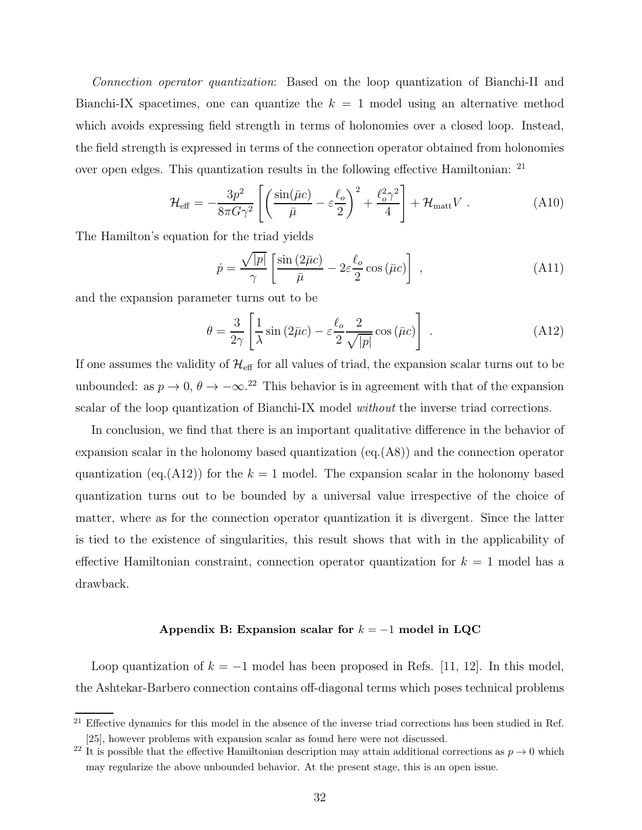Connection operator quantization: Based on the loop quantization of Bianchi-II and Bianchi-IX spacetimes, one can quantize the  $k = 1$  model using an alternative method which avoids expressing field strength in terms of holonomies over a closed loop. Instead, the field strength is expressed in terms of the connection operator obtained from holonomies over open edges. This quantization results in the following effective Hamiltonian: <sup>21</sup>

$$
\mathcal{H}_{\text{eff}} = -\frac{3p^2}{8\pi G\gamma^2} \left[ \left( \frac{\sin(\bar{\mu}c)}{\bar{\mu}} - \varepsilon \frac{\ell_o}{2} \right)^2 + \frac{\ell_o^2 \gamma^2}{4} \right] + \mathcal{H}_{\text{matt}} V \ . \tag{A10}
$$

The Hamilton's equation for the triad yields

$$
\dot{p} = \frac{\sqrt{|p|}}{\gamma} \left[ \frac{\sin(2\bar{\mu}c)}{\bar{\mu}} - 2\varepsilon \frac{\ell_o}{2} \cos(\bar{\mu}c) \right] , \qquad (A11)
$$

and the expansion parameter turns out to be

$$
\theta = \frac{3}{2\gamma} \left[ \frac{1}{\lambda} \sin \left( 2\bar{\mu}c \right) - \varepsilon \frac{\ell_o}{2} \frac{2}{\sqrt{|p|}} \cos \left( \bar{\mu}c \right) \right] . \tag{A12}
$$

If one assumes the validity of  $\mathcal{H}_{\text{eff}}$  for all values of triad, the expansion scalar turns out to be unbounded: as  $p \to 0$ ,  $\theta \to -\infty$ .<sup>22</sup> This behavior is in agreement with that of the expansion scalar of the loop quantization of Bianchi-IX model without the inverse triad corrections.

In conclusion, we find that there is an important qualitative difference in the behavior of expansion scalar in the holonomy based quantization  $(eq.(A8))$  and the connection operator quantization (eq.(A12)) for the  $k = 1$  model. The expansion scalar in the holonomy based quantization turns out to be bounded by a universal value irrespective of the choice of matter, where as for the connection operator quantization it is divergent. Since the latter is tied to the existence of singularities, this result shows that with in the applicability of effective Hamiltonian constraint, connection operator quantization for  $k = 1$  model has a drawback.

## Appendix B: Expansion scalar for  $k = -1$  model in LQC

Loop quantization of  $k = -1$  model has been proposed in Refs. [11, 12]. In this model, the Ashtekar-Barbero connection contains off-diagonal terms which poses technical problems

<sup>&</sup>lt;sup>21</sup> Effective dynamics for this model in the absence of the inverse triad corrections has been studied in Ref. [25], however problems with expansion scalar as found here were not discussed.

<sup>&</sup>lt;sup>22</sup> It is possible that the effective Hamiltonian description may attain additional corrections as  $p \to 0$  which may regularize the above unbounded behavior. At the present stage, this is an open issue.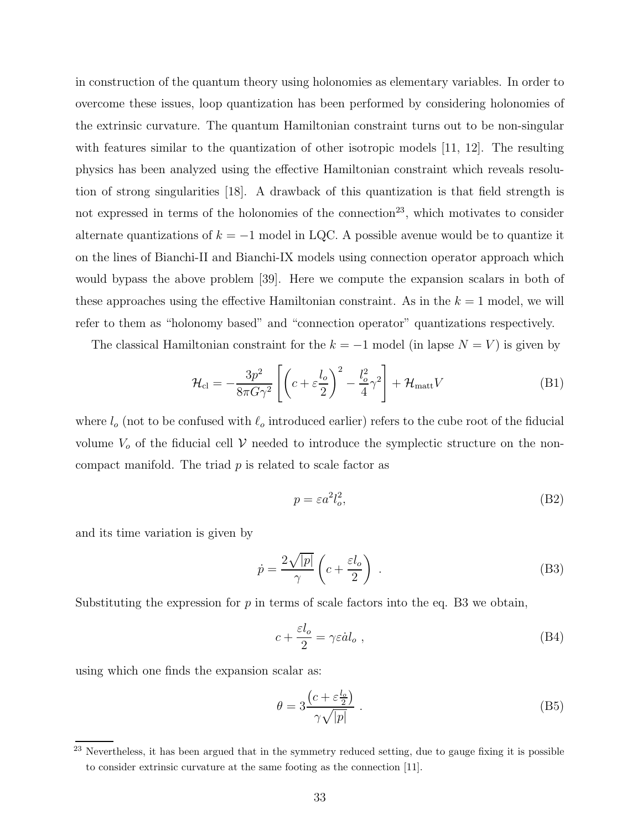in construction of the quantum theory using holonomies as elementary variables. In order to overcome these issues, loop quantization has been performed by considering holonomies of the extrinsic curvature. The quantum Hamiltonian constraint turns out to be non-singular with features similar to the quantization of other isotropic models [11, 12]. The resulting physics has been analyzed using the effective Hamiltonian constraint which reveals resolution of strong singularities [18]. A drawback of this quantization is that field strength is not expressed in terms of the holonomies of the connection<sup>23</sup>, which motivates to consider alternate quantizations of  $k = -1$  model in LQC. A possible avenue would be to quantize it on the lines of Bianchi-II and Bianchi-IX models using connection operator approach which would bypass the above problem [39]. Here we compute the expansion scalars in both of these approaches using the effective Hamiltonian constraint. As in the  $k = 1$  model, we will refer to them as "holonomy based" and "connection operator" quantizations respectively.

The classical Hamiltonian constraint for the  $k = -1$  model (in lapse  $N = V$ ) is given by

$$
\mathcal{H}_{\rm cl} = -\frac{3p^2}{8\pi G\gamma^2} \left[ \left( c + \varepsilon \frac{l_o}{2} \right)^2 - \frac{l_o^2}{4} \gamma^2 \right] + \mathcal{H}_{\rm matt} V \tag{B1}
$$

where  $l_o$  (not to be confused with  $\ell_o$  introduced earlier) refers to the cube root of the fiducial volume  $V<sub>o</sub>$  of the fiducial cell V needed to introduce the symplectic structure on the noncompact manifold. The triad  $p$  is related to scale factor as

$$
p = \varepsilon a^2 l_o^2,\tag{B2}
$$

and its time variation is given by

$$
\dot{p} = \frac{2\sqrt{|p|}}{\gamma} \left( c + \frac{\varepsilon l_o}{2} \right) . \tag{B3}
$$

Substituting the expression for  $p$  in terms of scale factors into the eq. B3 we obtain,

$$
c + \frac{\varepsilon l_o}{2} = \gamma \varepsilon \dot{a} l_o , \qquad (B4)
$$

using which one finds the expansion scalar as:

$$
\theta = 3 \frac{\left(c + \varepsilon \frac{l_o}{2}\right)}{\gamma \sqrt{|p|}}\,. \tag{B5}
$$

<sup>&</sup>lt;sup>23</sup> Nevertheless, it has been argued that in the symmetry reduced setting, due to gauge fixing it is possible to consider extrinsic curvature at the same footing as the connection [11].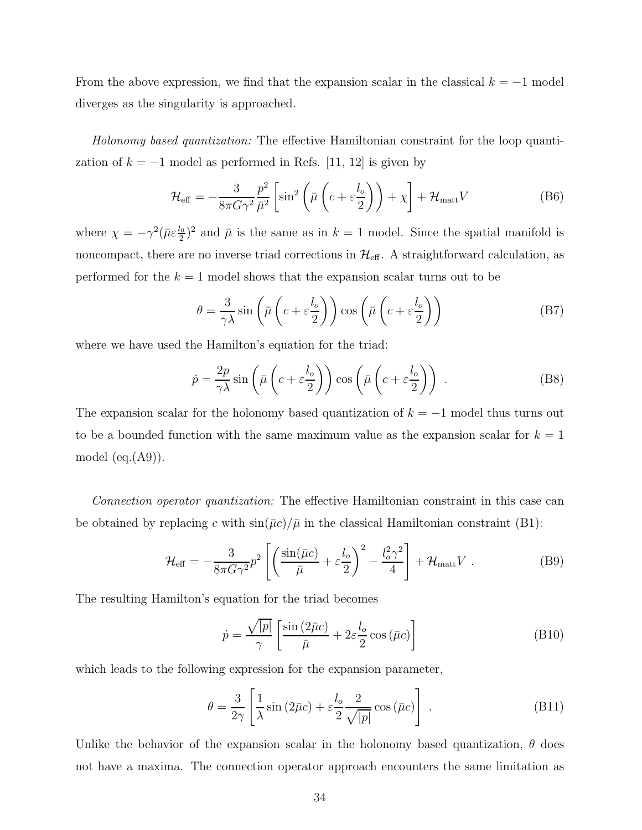From the above expression, we find that the expansion scalar in the classical  $k = -1$  model diverges as the singularity is approached.

Holonomy based quantization: The effective Hamiltonian constraint for the loop quantization of  $k = -1$  model as performed in Refs. [11, 12] is given by

$$
\mathcal{H}_{\text{eff}} = -\frac{3}{8\pi G\gamma^2} \frac{p^2}{\bar{\mu}^2} \left[ \sin^2 \left( \bar{\mu} \left( c + \varepsilon \frac{l_o}{2} \right) \right) + \chi \right] + \mathcal{H}_{\text{matt}} V \tag{B6}
$$

where  $\chi = -\gamma^2 (\bar{\mu} \varepsilon \frac{l_0}{2})^2$  and  $\bar{\mu}$  is the same as in  $k = 1$  model. Since the spatial manifold is noncompact, there are no inverse triad corrections in  $\mathcal{H}_{\text{eff}}$ . A straightforward calculation, as performed for the  $k = 1$  model shows that the expansion scalar turns out to be

$$
\theta = \frac{3}{\gamma \lambda} \sin \left( \bar{\mu} \left( c + \varepsilon \frac{l_o}{2} \right) \right) \cos \left( \bar{\mu} \left( c + \varepsilon \frac{l_o}{2} \right) \right)
$$
 (B7)

where we have used the Hamilton's equation for the triad:

$$
\dot{p} = \frac{2p}{\gamma \lambda} \sin \left( \bar{\mu} \left( c + \varepsilon \frac{l_o}{2} \right) \right) \cos \left( \bar{\mu} \left( c + \varepsilon \frac{l_o}{2} \right) \right) . \tag{B8}
$$

The expansion scalar for the holonomy based quantization of  $k = -1$  model thus turns out to be a bounded function with the same maximum value as the expansion scalar for  $k = 1$ model  $(eq.(A9))$ .

Connection operator quantization: The effective Hamiltonian constraint in this case can be obtained by replacing c with  $\sin(\bar{\mu}c)/\bar{\mu}$  in the classical Hamiltonian constraint (B1):

$$
\mathcal{H}_{\text{eff}} = -\frac{3}{8\pi G\gamma^2}p^2 \left[ \left( \frac{\sin(\bar{\mu}c)}{\bar{\mu}} + \varepsilon \frac{l_o}{2} \right)^2 - \frac{l_o^2 \gamma^2}{4} \right] + \mathcal{H}_{\text{matt}} V . \tag{B9}
$$

The resulting Hamilton's equation for the triad becomes

$$
\dot{p} = \frac{\sqrt{|p|}}{\gamma} \left[ \frac{\sin(2\bar{\mu}c)}{\bar{\mu}} + 2\varepsilon \frac{l_o}{2} \cos(\bar{\mu}c) \right]
$$
(B10)

which leads to the following expression for the expansion parameter,

$$
\theta = \frac{3}{2\gamma} \left[ \frac{1}{\lambda} \sin \left( 2\bar{\mu}c \right) + \varepsilon \frac{l_o}{2} \frac{2}{\sqrt{|p|}} \cos \left( \bar{\mu}c \right) \right] . \tag{B11}
$$

Unlike the behavior of the expansion scalar in the holonomy based quantization,  $\theta$  does not have a maxima. The connection operator approach encounters the same limitation as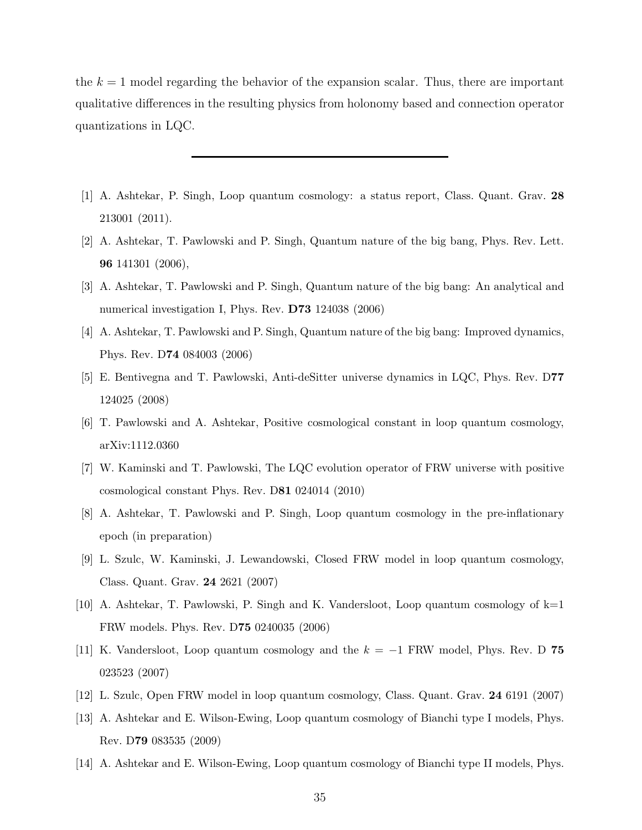the  $k = 1$  model regarding the behavior of the expansion scalar. Thus, there are important qualitative differences in the resulting physics from holonomy based and connection operator quantizations in LQC.

- [1] A. Ashtekar, P. Singh, Loop quantum cosmology: a status report, Class. Quant. Grav. 28 213001 (2011).
- [2] A. Ashtekar, T. Pawlowski and P. Singh, Quantum nature of the big bang, Phys. Rev. Lett. 96 141301 (2006),
- [3] A. Ashtekar, T. Pawlowski and P. Singh, Quantum nature of the big bang: An analytical and numerical investigation I, Phys. Rev. D73 124038 (2006)
- [4] A. Ashtekar, T. Pawlowski and P. Singh, Quantum nature of the big bang: Improved dynamics, Phys. Rev. D74 084003 (2006)
- [5] E. Bentivegna and T. Pawlowski, Anti-deSitter universe dynamics in LQC, Phys. Rev. D77 124025 (2008)
- [6] T. Pawlowski and A. Ashtekar, Positive cosmological constant in loop quantum cosmology, arXiv:1112.0360
- [7] W. Kaminski and T. Pawlowski, The LQC evolution operator of FRW universe with positive cosmological constant Phys. Rev. D81 024014 (2010)
- [8] A. Ashtekar, T. Pawlowski and P. Singh, Loop quantum cosmology in the pre-inflationary epoch (in preparation)
- [9] L. Szulc, W. Kaminski, J. Lewandowski, Closed FRW model in loop quantum cosmology, Class. Quant. Grav. 24 2621 (2007)
- [10] A. Ashtekar, T. Pawlowski, P. Singh and K. Vandersloot, Loop quantum cosmology of  $k=1$ FRW models. Phys. Rev. D75 0240035 (2006)
- [11] K. Vandersloot, Loop quantum cosmology and the  $k = -1$  FRW model, Phys. Rev. D 75 023523 (2007)
- [12] L. Szulc, Open FRW model in loop quantum cosmology, Class. Quant. Grav. 24 6191 (2007)
- [13] A. Ashtekar and E. Wilson-Ewing, Loop quantum cosmology of Bianchi type I models, Phys. Rev. D79 083535 (2009)
- [14] A. Ashtekar and E. Wilson-Ewing, Loop quantum cosmology of Bianchi type II models, Phys.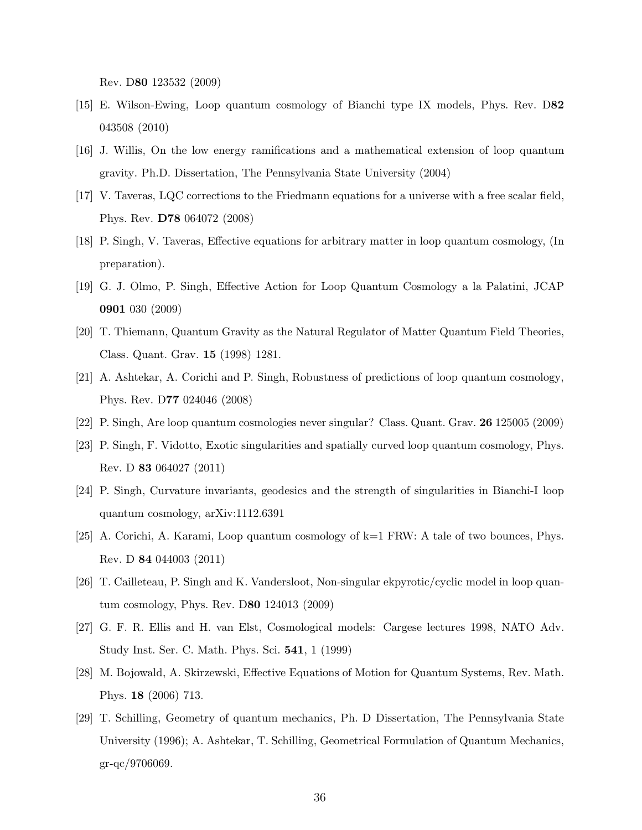Rev. D80 123532 (2009)

- [15] E. Wilson-Ewing, Loop quantum cosmology of Bianchi type IX models, Phys. Rev. D82 043508 (2010)
- [16] J. Willis, On the low energy ramifications and a mathematical extension of loop quantum gravity. Ph.D. Dissertation, The Pennsylvania State University (2004)
- [17] V. Taveras, LQC corrections to the Friedmann equations for a universe with a free scalar field, Phys. Rev. D78 064072 (2008)
- [18] P. Singh, V. Taveras, Effective equations for arbitrary matter in loop quantum cosmology, (In preparation).
- [19] G. J. Olmo, P. Singh, Effective Action for Loop Quantum Cosmology a la Palatini, JCAP 0901 030 (2009)
- [20] T. Thiemann, Quantum Gravity as the Natural Regulator of Matter Quantum Field Theories, Class. Quant. Grav. 15 (1998) 1281.
- [21] A. Ashtekar, A. Corichi and P. Singh, Robustness of predictions of loop quantum cosmology, Phys. Rev. D77 024046 (2008)
- [22] P. Singh, Are loop quantum cosmologies never singular? Class. Quant. Grav. 26 125005 (2009)
- [23] P. Singh, F. Vidotto, Exotic singularities and spatially curved loop quantum cosmology, Phys. Rev. D 83 064027 (2011)
- [24] P. Singh, Curvature invariants, geodesics and the strength of singularities in Bianchi-I loop quantum cosmology, arXiv:1112.6391
- [25] A. Corichi, A. Karami, Loop quantum cosmology of k=1 FRW: A tale of two bounces, Phys. Rev. D 84 044003 (2011)
- [26] T. Cailleteau, P. Singh and K. Vandersloot, Non-singular ekpyrotic/cyclic model in loop quantum cosmology, Phys. Rev. D80 124013 (2009)
- [27] G. F. R. Ellis and H. van Elst, Cosmological models: Cargese lectures 1998, NATO Adv. Study Inst. Ser. C. Math. Phys. Sci. 541, 1 (1999)
- [28] M. Bojowald, A. Skirzewski, Effective Equations of Motion for Quantum Systems, Rev. Math. Phys. 18 (2006) 713.
- [29] T. Schilling, Geometry of quantum mechanics, Ph. D Dissertation, The Pennsylvania State University (1996); A. Ashtekar, T. Schilling, Geometrical Formulation of Quantum Mechanics, gr-qc/9706069.